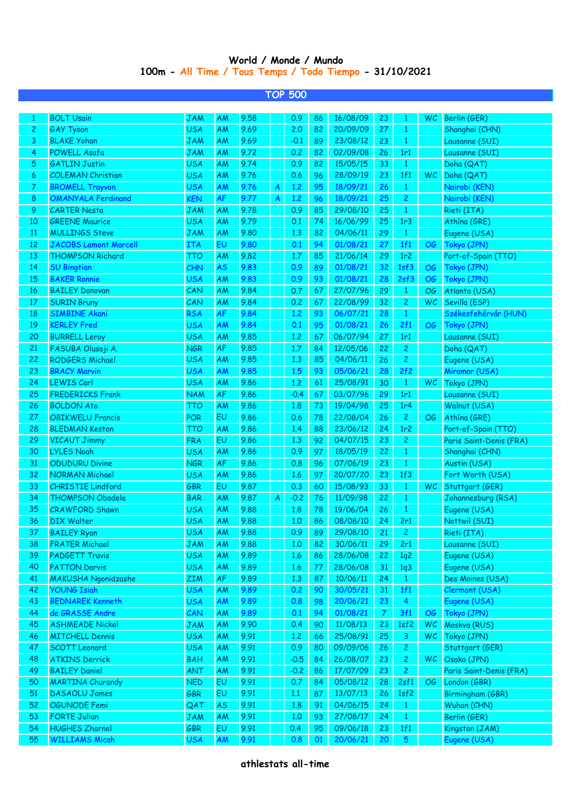## **World / Monde / Mundo 100m - All Time / Tous Temps / Todo Tiempo - 31/10/2021**

| <b>TOP 500</b> |                              |            |           |      |   |        |    |          |               |                 |           |                         |
|----------------|------------------------------|------------|-----------|------|---|--------|----|----------|---------------|-----------------|-----------|-------------------------|
|                |                              |            |           |      |   |        |    |          |               |                 |           |                         |
| 1              | <b>BOLT Usain</b>            | JAM        | <b>AM</b> | 9.58 |   | 0.9    | 86 | 16/08/09 | 23            | 1               | <b>WC</b> | Berlin (GER)            |
| 2              | <b>GAY Tyson</b>             | <b>USA</b> | AM        | 9.69 |   | 2.0    | 82 | 20/09/09 | 27            | 1               |           | Shanghai (CHN)          |
| 3              | <b>BLAKE Yohan</b>           | <b>JAM</b> | <b>AM</b> | 9.69 |   | $-0.1$ | 89 | 23/08/12 | 23            | $\mathbf{1}$    |           | Lausanne (SUI)          |
| 4              | <b>POWELL Asafa</b>          | JAM        | ΑM        | 9.72 |   | 0.2    | 82 | 02/09/08 | 26            | 1r1             |           | Lausanne (SUI)          |
| 5              | <b>GATLIN Justin</b>         | <b>USA</b> | AM        | 9.74 |   | 0.9    | 82 | 15/05/15 | 33            | $\mathbf{1}$    |           | Doha (QAT)              |
| 6              | <b>COLEMAN Christian</b>     | <b>USA</b> | <b>AM</b> | 9.76 |   | 0.6    | 96 | 28/09/19 | 23            | 1f1             | WC        | Doha (QAT)              |
| 7              | <b>BROMELL Trayvon</b>       | <b>USA</b> | <b>AM</b> | 9.76 | A | 1,2    | 95 | 18/09/21 | 26            | $\mathbf{1}$    |           | Nairobi (KEN)           |
| 8              | <b>OMANYALA Ferdinand</b>    | <b>KEN</b> | <b>AF</b> | 9.77 | A | 1,2    | 96 | 18/09/21 | 25            | 2               |           | Nairobi (KEN)           |
| 9              | <b>CARTER Nesta</b>          | <b>JAM</b> | AM        | 9.78 |   | 0.9    | 85 | 29/08/10 | 25            | $\mathbf{1}$    |           | Rieti (ITA)             |
| 10             | <b>GREENE Maurice</b>        | <b>USA</b> | AM        | 9.79 |   | 0.1    | 74 | 16/06/99 | 25            | 1r3             |           | Athina (GRE)            |
| 11             | <b>MULLINGS Steve</b>        | <b>JAM</b> | AM        | 9.80 |   | 1,3    | 82 | 04/06/11 | 29            | $\mathbf{1}$    |           | Eugene (USA)            |
| 12             | <b>JACOBS Lamont Marcell</b> | <b>ITA</b> | EU        | 9.80 |   | 0.1    | 94 | 01/08/21 | 27            | 1f1             | <b>OG</b> | Tokyo (JPN)             |
| 13             | <b>THOMPSON Richard</b>      | TTO        | AM        | 9.82 |   | 1.7    | 85 | 21/06/14 | 29            | 1r <sub>2</sub> |           | Port-of-Spain (TTO)     |
| 14             | <b>SU Bingtian</b>           | CHN        | AS        | 9.83 |   | 0.9    | 89 | 01/08/21 | 32            | 1sf3            | OG        | Tokyo (JPN)             |
| 15             | <b>BAKER Ronnie</b>          | <b>USA</b> | AM        | 9.83 |   | 0.9    | 93 | 01/08/21 | 28            | 2sf3            | OG        | Tokyo (JPN)             |
| 16             | <b>BAILEY Donovan</b>        | CAN        | AM        | 9.84 |   | 0.7    | 67 | 27/07/96 | 29            | $\mathbf{1}$    | ОG        | Atlanta (USA)           |
| 17             | <b>SURIN Bruny</b>           | CAN        | AM        | 9.84 |   | 0.2    | 67 | 22/08/99 | 32            | 2               | WC        | Sevilla (ESP)           |
| 18             | <b>SIMBINE Akani</b>         | <b>RSA</b> | <b>AF</b> | 9.84 |   | 1,2    | 93 | 06/07/21 | 28            | $\mathbf{1}$    |           | Székesfehérvár (HUN)    |
| 19             | <b>KERLEY Fred</b>           | <b>USA</b> | AM        | 9.84 |   | 0.1    | 95 | 01/08/21 | 26            | 2f1             | OG        | Tokyo (JPN)             |
| 20             | <b>BURRELL Leroy</b>         | <b>USA</b> | AM        | 9.85 |   | 1,2    | 67 | 06/07/94 | 27            | 1r1             |           | Lausanne (SUI)          |
| 21             | FASUBA Olusoji A.            | <b>NGR</b> | <b>AF</b> | 9.85 |   | 1.7    | 84 | 12/05/06 | 22            | 2               |           | Doha (QAT)              |
| 22             | <b>RODGERS Michael</b>       | <b>USA</b> | AM        | 9.85 |   | 1.3    | 85 | 04/06/11 | 26            | 2               |           | Eugene (USA)            |
| 23             | <b>BRACY Marvin</b>          | <b>USA</b> | AM        | 9.85 |   | 1.5    | 93 | 05/06/21 | 28            | 2f2             |           | Miramar (USA)           |
| 24             | <b>LEWIS Carl</b>            | <b>USA</b> | AM        | 9.86 |   | 1,2    | 61 | 25/08/91 | 30            | $\mathbf{1}$    | WC.       | Tokyo (JPN)             |
| 25             | <b>FREDERICKS Frank</b>      | <b>NAM</b> | <b>AF</b> | 9.86 |   | $-0.4$ | 67 | 03/07/96 | 29            | 1r1             |           | Lausanne (SUI)          |
| 26             | <b>BOLDON Ato</b>            | тто        | AM        | 9.86 |   | 1.8    | 73 | 19/04/98 | 25            | 1r <sub>4</sub> |           | Walnut (USA)            |
| 27             | <b>OBIKWELU Francis</b>      | <b>POR</b> | EU        | 9.86 |   | 0.6    | 78 | 22/08/04 | 26            | 2               | OG        | Athína (GRE)            |
| 28             | <b>BLEDMAN Keston</b>        | тто        | AM        | 9.86 |   | 1.4    | 88 | 23/06/12 | 24            | 1r <sub>2</sub> |           | Port-of-Spain (TTO)     |
| 29             | <b>VICAUT Jimmy</b>          | <b>FRA</b> | EU        | 9.86 |   | 1,3    | 92 | 04/07/15 | 23            | $\overline{c}$  |           | Paris Saint-Denis (FRA) |
| 30             | <b>LYLES Noah</b>            | USA        | AM        | 9.86 |   | 0.9    | 97 | 18/05/19 | 22            | $\mathbf{1}$    |           | Shanghai (CHN)          |
| 31             | <b>ODUDURU Divine</b>        | <b>NGR</b> | <b>AF</b> | 9.86 |   | 0.8    | 96 | 07/06/19 | 23            | $\mathbf{1}$    |           | Austin (USA)            |
| 32             | <b>NORMAN Michael</b>        | USA        | AM        | 9.86 |   | 1.6    | 97 | 20/07/20 | 23            | 1f3             |           | Fort Worth (USA)        |
| 33             | <b>CHRISTIE Lindford</b>     | GBR        | EU        | 9.87 |   | 0.3    | 60 | 15/08/93 | 33            | $\mathbf{1}$    | <b>WC</b> | Stuttgart (GER)         |
| 34             | <b>THOMPSON Obadele</b>      | <b>BAR</b> | AM        | 9.87 | A | $-0.2$ | 76 | 11/09/98 | 22            | $\mathbf{1}$    |           | Johannesburg (RSA)      |
| 35             | <b>CRAWFORD Shawn</b>        | <b>USA</b> | AM        | 9.88 |   | 1.8    | 78 | 19/06/04 | 26            | 1               |           | Eugene (USA)            |
| 36             | DIX Walter                   | <b>USA</b> | <b>AM</b> | 9.88 |   | 1.0    | 86 | 08/08/10 | 24            | 2r1             |           | Nottwil (SUI)           |
| 37             | <b>BAILEY Ryan</b>           | <b>USA</b> | AM        | 9.88 |   | 0.9    | 89 | 29/08/10 | 21            | $\mathbf{2}$    |           | Rieti (ITA)             |
| 38             | <b>FRATER Michael</b>        | <b>JAM</b> | AM        | 9.88 |   | 1.0    | 82 | 30/06/11 | 29            | 2r1             |           | Lausanne (SUI)          |
| 39             | <b>PADGETT Travis</b>        | <b>USA</b> | AM        | 9.89 |   | 1.6    | 86 | 28/06/08 | 22            | 1q2             |           | Eugene (USA)            |
| 40             | <b>PATTON Darvis</b>         | <b>USA</b> | AM        | 9.89 |   | 1.6    | 77 | 28/06/08 | 31            | 1q3             |           | Eugene (USA)            |
| 41             | <b>MAKUSHA Ngonidzashe</b>   | <b>ZIM</b> | AF        | 9.89 |   | 1,3    | 87 | 10/06/11 | 24            | $\mathbf{1}$    |           | Des Moines (USA)        |
| 42             | <b>YOUNG Isiah</b>           | <b>USA</b> | <b>AM</b> | 9.89 |   | 0.2    | 90 | 30/05/21 | 31            | 1f1             |           | Clermont (USA)          |
| 43             | <b>BEDNAREK Kenneth</b>      | <b>USA</b> | AM        | 9.89 |   | 0.8    | 98 | 20/06/21 | 23            | $\overline{4}$  |           | Eugene (USA)            |
| 44             | de GRASSE Andre              | CAN        | <b>AM</b> | 9.89 |   | 0.1    | 94 | 01/08/21 | $\mathcal{I}$ | 3f1             | <b>OG</b> | Tokyo (JPN)             |
| 45             | <b>ASHMEADE Nickel</b>       | <b>JAM</b> | AM        | 9.90 |   | 0.4    | 90 | 11/08/13 | 23            | 1sf2            | WC        | Moskva (RUS)            |
| 46             | <b>MITCHELL Dennis</b>       | <b>USA</b> | AM        | 9.91 |   | 1.2    | 66 | 25/08/91 | 25            | 3               | WC        | Tokyo (JPN)             |
| 47             | <b>SCOTT Leonard</b>         | <b>USA</b> | AM        | 9.91 |   | 0.9    | 80 | 09/09/06 | 26            | 2               |           | Stuttgart (GER)         |
| 48             | <b>ATKINS Derrick</b>        | <b>BAH</b> | AM        | 9.91 |   | $-0.5$ | 84 | 26/08/07 | 23            | 2               | <b>WC</b> | Osaka (JPN)             |
| 49             | <b>BAILEY Daniel</b>         | <b>ANT</b> | <b>AM</b> | 9.91 |   | $-0.2$ | 86 | 17/07/09 | 23            | 2               |           | Paris Saint-Denis (FRA) |
| 50             | <b>MARTINA Churandy</b>      | <b>NED</b> | EU        | 9.91 |   | 0.7    | 84 | 05/08/12 | 28            | 2sf1            | OG        | London (GBR)            |
| 51             | <b>DASAOLU James</b>         | <b>GBR</b> | EU        | 9.91 |   | 1.1    | 87 | 13/07/13 | 26            | 1sf2            |           | Birmingham (GBR)        |
| 52             | <b>OGUNODE Femi</b>          | QAT        | <b>AS</b> | 9.91 |   | 1.8    | 91 | 04/06/15 | 24            | $\mathbf{1}$    |           | Wuhan (CHN)             |
| 53             | <b>FORTE Julian</b>          | <b>JAM</b> | <b>AM</b> | 9.91 |   | 1.0    | 93 | 27/08/17 | 24            | $\mathbf{1}$    |           | Berlin (GER)            |
| 54             | <b>HUGHES Zharnel</b>        | <b>GBR</b> | EU        | 9.91 |   | 0.4    | 95 | 09/06/18 | 23            | 1f1             |           | Kingston (JAM)          |
| 55             | <b>WILLIAMS Micah</b>        | <b>USA</b> | AM        | 9.91 |   | 0.8    | 01 | 20/06/21 | 20            | 5               |           | Eugene (USA)            |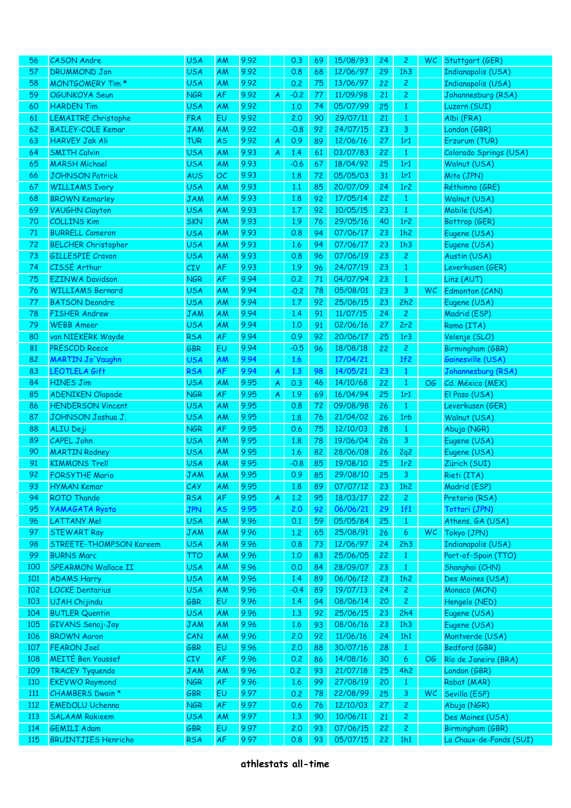| 56  | <b>CASON</b> Andre         | <b>USA</b> | AM        | 9.92 |   | 0.3    | 69 | 15/08/93 | 24 | $\mathbf{2}$    | WC.       | Stuttgart (GER)           |
|-----|----------------------------|------------|-----------|------|---|--------|----|----------|----|-----------------|-----------|---------------------------|
| 57  | <b>DRUMMOND Jon</b>        | <b>USA</b> | AM        | 9.92 |   | 0.8    | 68 | 12/06/97 | 29 | 1h3             |           | <b>Indianapolis (USA)</b> |
| 58  | <b>MONTGOMERY Tim*</b>     | <b>USA</b> | AM        | 9.92 |   | 0.2    | 75 | 13/06/97 | 22 | $\mathbf{2}$    |           | <b>Indianapolis (USA)</b> |
| 59  | <b>OGUNKOYA Seun</b>       | <b>NGR</b> | AF        | 9.92 | A | $-0.2$ | 77 | 11/09/98 | 21 | $\mathbf{2}$    |           | Johannesburg (RSA)        |
| 60  | <b>HARDEN Tim</b>          | <b>USA</b> | AM        | 9.92 |   | 1,0    | 74 | 05/07/99 | 25 | $\mathbf{1}$    |           | Luzern (SUI)              |
| 61  | <b>LEMAITRE Christophe</b> | <b>FRA</b> | EU        | 9.92 |   | 2.0    | 90 | 29/07/11 | 21 | $\mathbf{1}$    |           | Albi (FRA)                |
| 62  | <b>BAILEY-COLE Kemar</b>   | <b>JAM</b> | AM        | 9.92 |   | $-0.8$ | 92 | 24/07/15 | 23 | 3               |           | London (GBR)              |
| 63  | <b>HARVEY Jak Ali</b>      | <b>TUR</b> |           | 9.92 |   | 0.9    | 89 | 12/06/16 | 27 | 1r1             |           |                           |
|     |                            |            | <b>AS</b> |      | A |        |    |          |    |                 |           | Erzurum (TUR)             |
| 64  | <b>SMITH Calvin</b>        | <b>USA</b> | <b>AM</b> | 9.93 | A | 1.4    | 61 | 03/07/83 | 22 | $\mathbf{1}$    |           | Colorado Springs (USA)    |
| 65  | <b>MARSH Michael</b>       | <b>USA</b> | <b>AM</b> | 9.93 |   | $-0.6$ | 67 | 18/04/92 | 25 | 1r1             |           | Walnut (USA)              |
| 66  | <b>JOHNSON Patrick</b>     | <b>AUS</b> | OC        | 9.93 |   | 1.8    | 72 | 05/05/03 | 31 | 1r1             |           | Mito (JPN)                |
| 67  | <b>WILLIAMS Ivory</b>      | <b>USA</b> | AM        | 9.93 |   | 1.1    | 85 | 20/07/09 | 24 | 1r2             |           | Réthimno (GRE)            |
| 68  | <b>BROWN Kemarley</b>      | <b>JAM</b> | <b>AM</b> | 9.93 |   | 1.8    | 92 | 17/05/14 | 22 | $\mathbf{1}$    |           | Walnut (USA)              |
| 69  | <b>VAUGHN Clayton</b>      | <b>USA</b> | AM        | 9.93 |   | 1.7    | 92 | 10/05/15 | 23 | $\mathbf{1}$    |           | Mobile (USA)              |
| 70  | <b>COLLINS Kim</b>         | <b>SKN</b> | AM        | 9.93 |   | 1.9    | 76 | 29/05/16 | 40 | 1r2             |           | Bottrop (GER)             |
| 71  | <b>BURRELL Cameron</b>     | <b>USA</b> | AM        | 9.93 |   | 0.8    | 94 | 07/06/17 | 23 | 1h2             |           | Eugene (USA)              |
| 72  | <b>BELCHER Christopher</b> | <b>USA</b> | AM        | 9.93 |   | 1.6    | 94 | 07/06/17 | 23 | 1h3             |           | Eugene (USA)              |
| 73  | <b>GILLESPIE Cravon</b>    | <b>USA</b> | AM        | 9.93 |   | 0.8    | 96 | 07/06/19 | 23 | $\mathbf{2}$    |           | Austin (USA)              |
| 74  | CISSÉ Arthur               | <b>CIV</b> | AF        | 9.93 |   | 1.9    | 96 | 24/07/19 | 23 | $\mathbf{1}$    |           | Leverkusen (GER)          |
| 75  | <b>EZINWA Davidson</b>     | <b>NGR</b> | AF        | 9.94 |   | 0.2    | 71 | 04/07/94 | 23 | $\mathbf{1}$    |           | Linz (AUT)                |
| 76  | <b>WILLIAMS Bernard</b>    | <b>USA</b> | AM        | 9.94 |   | $-0.2$ | 78 | 05/08/01 | 23 | 3               | WC.       | Edmonton (CAN)            |
| 77  | <b>BATSON Deondre</b>      | <b>USA</b> | AM        | 9.94 |   | 1.7    | 92 | 25/06/15 | 23 | 2h2             |           | Eugene (USA)              |
| 78  | <b>FISHER Andrew</b>       | <b>JAM</b> | <b>AM</b> | 9.94 |   | 1.4    | 91 | 11/07/15 | 24 | $\mathbf{2}$    |           | Madrid (ESP)              |
| 79  | <b>WEBB Ameer</b>          | <b>USA</b> | AM        | 9.94 |   | 1,0    | 91 | 02/06/16 | 27 | 2r2             |           | Roma (ITA)                |
| 80  | van NIEKERK Wayde          | <b>RSA</b> | AF        | 9.94 |   | 0.9    | 92 | 20/06/17 | 25 | 1r3             |           | Velenje (SLO)             |
|     |                            |            |           |      |   |        |    |          |    |                 |           |                           |
| 81  | PRESCOD Reece              | <b>GBR</b> | EU        | 9.94 |   | $-0.5$ | 96 | 18/08/18 | 22 | $\mathbf{2}$    |           | Birmingham (GBR)          |
| 82  | <b>MARTIN Jo'Vaughn</b>    | <b>USA</b> | AM        | 9.94 |   | 1.6    |    | 17/04/21 |    | 1f2             |           | Gainesville (USA)         |
| 83  | LEOTLELA Gift              | <b>RSA</b> | AF        | 9.94 | A | 1.3    | 98 | 14/05/21 | 23 | $\mathbf{1}$    |           | Johannesburg (RSA)        |
| 84  | <b>HINES Jim</b>           | <b>USA</b> | AM        | 9.95 | A | 0.3    | 46 | 14/10/68 | 22 | $\mathbf{1}$    | OG.       | Cd. México (MEX)          |
| 85  | <b>ADENIKEN Olapade</b>    | <b>NGR</b> | AF        | 9.95 | A | 1.9    | 69 | 16/04/94 | 25 | 1r1             |           | El Paso (USA)             |
| 86  | <b>HENDERSON Vincent</b>   | <b>USA</b> | AM        | 9.95 |   | 0.8    | 72 | 09/08/98 | 26 | $\mathbf{1}$    |           | Leverkusen (GER)          |
| 87  | JOHNSON Joshua J.          | <b>USA</b> | AM        | 9.95 |   | 1.8    | 76 | 21/04/02 | 26 | 1r6             |           | Walnut (USA)              |
| 88  | ALIU Deji                  | <b>NGR</b> | AF        | 9.95 |   | 0.6    | 75 | 12/10/03 | 28 | $\mathbf{1}$    |           | Abuja (NGR)               |
| 89  | <b>CAPEL John</b>          | <b>USA</b> | AM        | 9.95 |   | 1.8    | 78 | 19/06/04 | 26 | 3               |           | Eugene (USA)              |
| 90  | <b>MARTIN Rodney</b>       | <b>USA</b> | AM        | 9.95 |   | 1.6    | 82 | 28/06/08 | 26 | 2q2             |           | Eugene (USA)              |
| 91  | <b>KIMMONS Trell</b>       | <b>USA</b> | AM        | 9.95 |   | $-0.8$ | 85 | 19/08/10 | 25 | 1r <sub>2</sub> |           | Zürich (SUI)              |
| 92  | <b>FORSYTHE Mario</b>      | <b>JAM</b> | <b>AM</b> | 9.95 |   | 0.9    | 85 | 29/08/10 | 25 | 3               |           | Rieti (ITA)               |
| 93  | HYMAN Kemar                | CAY        | AM        | 9.95 |   | 1.8    | 89 | 07/07/12 | 23 | 1h2             |           | Madrid (ESP)              |
| 94  | <b>ROTO Thando</b>         | <b>RSA</b> | AF        | 9.95 | A | 1,2    | 95 | 18/03/17 | 22 | $\mathbf{2}$    |           | Pretoria (RSA)            |
| 95  | <b>YAMAGATA Ryota</b>      | <b>JPN</b> | <b>AS</b> | 9.95 |   | 2.0    | 92 | 06/06/21 | 29 | 1f1             |           | Tottori (JPN)             |
| 96  | <b>LATTANY Mel</b>         | <b>USA</b> | AM        | 9.96 |   | 0.1    | 59 | 05/05/84 | 25 | $\mathbf{1}$    |           | Athens, GA (USA)          |
| 97  | <b>STEWART Ray</b>         | <b>JAM</b> | AM        | 9.96 |   | 1,2    | 65 | 25/08/91 | 26 | 6               | <b>WC</b> | Tokyo (JPN)               |
| 98  | STREETE-THOMPSON Kareem    | <b>USA</b> | AM        | 9.96 |   | 0.8    | 73 | 12/06/97 | 24 | 2h3             |           | <b>Indianapolis (USA)</b> |
| 99  | <b>BURNS Marc</b>          | <b>TTO</b> | AM        | 9.96 |   | 1,0    | 83 | 25/06/05 | 22 | $\mathbf{1}$    |           | Port-of-Spain (TTO)       |
|     |                            |            |           |      |   |        |    | 28/09/07 |    |                 |           |                           |
| 100 | SPEARMON Wallace II        | <b>USA</b> | AM        | 9.96 |   | 0.0    | 84 |          | 23 | $\mathbf{1}$    |           | Shanghai (CHN)            |
| 101 | <b>ADAMS Harry</b>         | <b>USA</b> | AM        | 9.96 |   | 1.4    | 89 | 06/06/12 | 23 | 1h2             |           | Des Moines (USA)          |
| 102 | <b>LOCKE Dentarius</b>     | <b>USA</b> | AM        | 9.96 |   | $-0.4$ | 89 | 19/07/13 | 24 | $\mathbf{2}$    |           | Monaco (MON)              |
| 103 | UJAH Chijindu              | <b>GBR</b> | EU        | 9.96 |   | 1.4    | 94 | 08/06/14 | 20 | $\mathbf{2}$    |           | Hengelo (NED)             |
| 104 | <b>BUTLER Quentin</b>      | <b>USA</b> | AM        | 9.96 |   | 1,3    | 92 | 25/06/15 | 23 | 2h4             |           | Eugene (USA)              |
| 105 | GIVANS Senoj-Jay           | <b>JAM</b> | AM        | 9.96 |   | 1.6    | 93 | 08/06/16 | 23 | 1h3             |           | Eugene (USA)              |
| 106 | <b>BROWN Aaron</b>         | CAN        | AM        | 9.96 |   | 2.0    | 92 | 11/06/16 | 24 | 1h1             |           | Montverde (USA)           |
| 107 | <b>FEARON Joel</b>         | <b>GBR</b> | EU        | 9.96 |   | 2.0    | 88 | 30/07/16 | 28 | $\mathbf{1}$    |           | Bedford (GBR)             |
| 108 | <b>MEITÉ Ben Youssef</b>   | <b>CIV</b> | AF        | 9.96 |   | 0.2    | 86 | 14/08/16 | 30 | 6               | ОG        | Río de Janeiro (BRA)      |
| 109 | <b>TRACEY Tyquendo</b>     | <b>JAM</b> | AM        | 9.96 |   | 0.2    | 93 | 21/07/18 | 25 | 4h2             |           | London (GBR)              |
| 110 | <b>EKEVWO Raymond</b>      | <b>NGR</b> | AF        | 9.96 |   | 1.6    | 99 | 27/08/19 | 20 | $\mathbf{1}$    |           | Rabat (MAR)               |
| 111 | CHAMBERS Dwain *           | <b>GBR</b> | EU        | 9.97 |   | 0.2    | 78 | 22/08/99 | 25 | 3               | <b>WC</b> | Sevilla (ESP)             |
| 112 | <b>EMEDOLU Uchenna</b>     | <b>NGR</b> | AF        | 9.97 |   | 0.6    | 76 | 12/10/03 | 27 | $\mathbf{2}$    |           | Abuja (NGR)               |
| 113 | <b>SALAAM Rakieem</b>      | <b>USA</b> | AM        | 9.97 |   | 1,3    | 90 | 10/06/11 | 21 | $\mathbf{2}$    |           | Des Moines (USA)          |
| 114 | <b>GEMILI Adam</b>         | <b>GBR</b> | EU        | 9.97 |   | 2.0    | 93 | 07/06/15 | 22 | $\overline{c}$  |           | Birmingham (GBR)          |
| 115 | <b>BRUINTJIES Henricho</b> | <b>RSA</b> | AF        | 9.97 |   | 0.8    | 93 | 05/07/15 | 22 | 1h1             |           | La Chaux-de-Fonds (SUI)   |
|     |                            |            |           |      |   |        |    |          |    |                 |           |                           |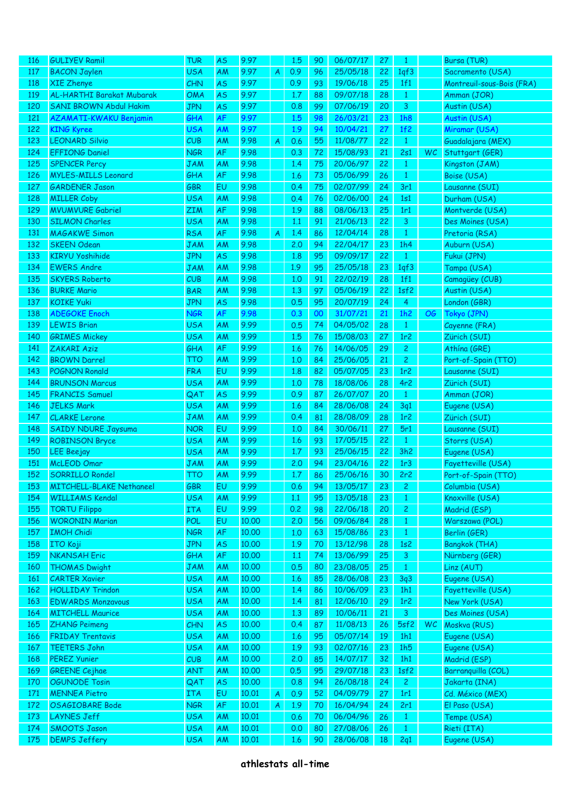| <b>116</b> | <b>GULIYEV Ramil</b>             | <b>TUR</b> | <b>AS</b> | 9.97  |   | 1.5 | 90 | 06/07/17 | 27 | 1                |           | Bursa (TUR)               |
|------------|----------------------------------|------------|-----------|-------|---|-----|----|----------|----|------------------|-----------|---------------------------|
|            |                                  |            |           |       |   |     |    |          |    |                  |           |                           |
| 117        | <b>BACON Jaylen</b>              | <b>USA</b> | AM        | 9.97  | A | 0.9 | 96 | 25/05/18 | 22 | 1qf3             |           | Sacramento (USA)          |
| 118        | <b>XIE Zhenye</b>                | CHN        | <b>AS</b> | 9.97  |   | 0.9 | 93 | 19/06/18 | 25 | 1f1              |           | Montreuil-sous-Bois (FRA) |
| 119        | <b>AL-HARTHI Barakat Mubarak</b> | <b>OMA</b> | AS        | 9.97  |   | 1.7 | 88 | 09/07/18 | 28 | $\mathbf{1}$     |           | Amman (JOR)               |
| 120        | <b>SANI BROWN Abdul Hakim</b>    | <b>JPN</b> | <b>AS</b> | 9.97  |   | 0.8 | 99 | 07/06/19 | 20 | $\mathbf{3}$     |           | Austin (USA)              |
| 121        | <b>AZAMATI-KWAKU Benjamin</b>    | GHA        | AF        | 9.97  |   | 1.5 | 98 | 26/03/21 | 23 | 1h8              |           | Austin (USA)              |
| 122        | <b>KING Kyree</b>                | <b>USA</b> | AM        | 9.97  |   | 1.9 | 94 | 10/04/21 | 27 | 1f2              |           | Miramar (USA)             |
| 123        | <b>LEONARD Silvio</b>            | CUB        | AM        | 9.98  |   | 0.6 | 55 | 11/08/77 | 22 | $\mathbf{1}$     |           | Guadalajara (MEX)         |
|            |                                  |            |           |       | A |     |    |          |    |                  |           |                           |
| 124        | <b>EFFIONG Daniel</b>            | <b>NGR</b> | AF        | 9.98  |   | 0.3 | 72 | 15/08/93 | 21 | 2s1              | WC        | Stuttgart (GER)           |
| 125        | <b>SPENCER Percy</b>             | <b>JAM</b> | AM        | 9.98  |   | 1.4 | 75 | 20/06/97 | 22 | $\mathbf{1}$     |           | Kingston (JAM)            |
| 126        | <b>MYLES-MILLS Leonard</b>       | GHA        | AF        | 9.98  |   | 1.6 | 73 | 05/06/99 | 26 | $\mathbf{1}$     |           | Boise (USA)               |
| 127        | <b>GARDENER Jason</b>            | <b>GBR</b> | EU        | 9.98  |   | 0.4 | 75 | 02/07/99 | 24 | 3r1              |           | Lausanne (SUI)            |
| 128        | <b>MILLER Coby</b>               | <b>USA</b> | AM        | 9.98  |   | 0.4 | 76 | 02/06/00 | 24 | 1s1              |           | Durham (USA)              |
| 129        | <b>MVUMVURE Gabriel</b>          | <b>ZIM</b> | AF        | 9.98  |   | 1.9 | 88 | 08/06/13 | 25 | 1r1              |           | Montverde (USA)           |
|            |                                  |            |           |       |   |     |    |          |    |                  |           |                           |
| 130        | <b>SILMON Charles</b>            | <b>USA</b> | AM        | 9.98  |   | 1.1 | 91 | 21/06/13 | 22 | $\mathbf{3}$     |           | Des Moines (USA)          |
| 131        | <b>MAGAKWE Simon</b>             | <b>RSA</b> | AF        | 9.98  | A | 1.4 | 86 | 12/04/14 | 28 | $\mathbf{1}$     |           | Pretoria (RSA)            |
| 132        | <b>SKEEN Odean</b>               | <b>JAM</b> | AM        | 9.98  |   | 2.0 | 94 | 22/04/17 | 23 | 1h4              |           | Auburn (USA)              |
| 133        | <b>KIRYU Yoshihide</b>           | <b>JPN</b> | <b>AS</b> | 9.98  |   | 1.8 | 95 | 09/09/17 | 22 | $\mathbf{1}$     |           | Fukui (JPN)               |
| 134        | <b>EWERS Andre</b>               | <b>JAM</b> | <b>AM</b> | 9.98  |   | 1.9 | 95 | 25/05/18 | 23 | 1qf3             |           | Tampa (USA)               |
| 135        | <b>SKYERS Roberto</b>            | CUB        | AM        | 9.98  |   | 1,0 | 91 | 22/02/19 | 28 | 1f1              |           | Camagüey (CUB)            |
| 136        | <b>BURKE Mario</b>               | <b>BAR</b> | AM        | 9.98  |   | 1,3 | 97 | 05/06/19 | 22 | 1sf2             |           | Austin (USA)              |
| 137        | <b>KOIKE Yuki</b>                | <b>JPN</b> | <b>AS</b> | 9.98  |   | 0.5 | 95 | 20/07/19 | 24 | $\overline{4}$   |           | London (GBR)              |
|            |                                  |            |           |       |   |     |    |          |    |                  |           |                           |
| 138        | <b>ADEGOKE Enoch</b>             | <b>NGR</b> | AF        | 9.98  |   | 0.3 | 00 | 31/07/21 | 21 | 1h2              | <b>OG</b> | Tokyo (JPN)               |
| 139        | <b>LEWIS Brian</b>               | <b>USA</b> | AM        | 9.99  |   | 0.5 | 74 | 04/05/02 | 28 | $\mathbf{1}$     |           | Cayenne (FRA)             |
| 140        | <b>GRIMES Mickey</b>             | <b>USA</b> | <b>AM</b> | 9.99  |   | 1.5 | 76 | 15/08/03 | 27 | 1r2              |           | Zürich (SUI)              |
| 141        | <b>ZAKARI Aziz</b>               | GHA        | AF        | 9.99  |   | 1.6 | 76 | 14/06/05 | 29 | $\mathbf{2}$     |           | Athina (GRE)              |
| 142        | <b>BROWN Darrel</b>              | TTO        | <b>AM</b> | 9.99  |   | 1,0 | 84 | 25/06/05 | 21 | $\mathbf{2}$     |           | Port-of-Spain (TTO)       |
| 143        | <b>POGNON Ronald</b>             | <b>FRA</b> | EU        | 9.99  |   | 1.8 | 82 | 05/07/05 | 23 | 1r2              |           | Lausanne (SUI)            |
| 144        | <b>BRUNSON Marcus</b>            | <b>USA</b> | AM        | 9.99  |   | 1,0 | 78 | 18/08/06 | 28 | 4r2              |           | Zürich (SUI)              |
| 145        | <b>FRANCIS Samuel</b>            | QAT        | <b>AS</b> | 9.99  |   | 0.9 | 87 | 26/07/07 | 20 | $\mathbf{1}$     |           | Amman (JOR)               |
| 146        | <b>JELKS Mark</b>                | <b>USA</b> | AM        | 9.99  |   | 1.6 | 84 | 28/06/08 | 24 | 3q1              |           | Eugene (USA)              |
| 147        | <b>CLARKE Lerone</b>             | <b>JAM</b> | <b>AM</b> | 9.99  |   | 0.4 | 81 | 28/08/09 | 28 | 1r <sub>2</sub>  |           |                           |
|            |                                  |            |           |       |   |     |    |          |    |                  |           | Zürich (SUI)              |
| 148        | <b>SAIDY NDURE Jaysuma</b>       | <b>NOR</b> | EU        | 9.99  |   | 1.0 | 84 | 30/06/11 | 27 | 5r1              |           | Lausanne (SUI)            |
| 149        | <b>ROBINSON Bryce</b>            | <b>USA</b> | AM        | 9.99  |   | 1.6 | 93 | 17/05/15 | 22 | $\mathbf{1}$     |           | Storrs (USA)              |
| 150        | <b>LEE</b> Beejay                | <b>USA</b> | AM        | 9.99  |   | 1.7 | 93 | 25/06/15 | 22 | 3h2              |           | Eugene (USA)              |
| 151        | <b>McLEOD Omar</b>               | <b>JAM</b> | AM        | 9.99  |   | 2.0 | 94 | 23/04/16 | 22 | 1 <sub>r</sub> 3 |           | Fayetteville (USA)        |
| 152        | <b>SORRILLO Rondel</b>           | TTO        | AM        | 9.99  |   | 1.7 | 86 | 25/06/16 | 30 | 2r2              |           | Port-of-Spain (TTO)       |
| 153        | MITCHELL-BLAKE Nethaneel         | GBR        | ΕU        | 9.99  |   | 0.6 | 94 | 13/05/17 | 23 | Z,               |           | Columbia (USA)            |
| 154        | <b>WILLIAMS Kendal</b>           | <b>USA</b> | AM        | 9.99  |   | 1,1 | 95 | 13/05/18 | 23 | $\mathbf{1}$     |           | Knoxville (USA)           |
| 155        | <b>TORTU Filippo</b>             | <b>ITA</b> | EU        | 9.99  |   | 0.2 | 98 | 22/06/18 | 20 | $\overline{2}$   |           | Madrid (ESP)              |
| 156        | <b>WORONIN Marian</b>            | POL        | EU        | 10,00 |   | 2.0 | 56 | 09/06/84 | 28 | $\mathbf{1}$     |           | Warszawa (POL)            |
| 157        | <b>IMOH Chidi</b>                | <b>NGR</b> | AF        | 10.00 |   | 1.0 | 63 | 15/08/86 | 23 | $\mathbf{1}$     |           | Berlin (GER)              |
|            |                                  |            |           |       |   |     |    |          |    |                  |           |                           |
| 158        | <b>ITO Koji</b>                  | <b>JPN</b> | <b>AS</b> | 10.00 |   | 1.9 | 70 | 13/12/98 | 28 | 1s2              |           | Bangkok (THA)             |
| 159        | <b>NKANSAH Eric</b>              | GHA        | AF        | 10.00 |   | 1.1 | 74 | 13/06/99 | 25 | $\mathbf{3}$     |           | Nürnberg (GER)            |
| 160        | <b>THOMAS Dwight</b>             | <b>JAM</b> | AM        | 10.00 |   | 0.5 | 80 | 23/08/05 | 25 | $\mathbf{1}$     |           | Linz (AUT)                |
| 161        | <b>CARTER Xavier</b>             | <b>USA</b> | AM        | 10.00 |   | 1.6 | 85 | 28/06/08 | 23 | 3q3              |           | Eugene (USA)              |
| 162        | <b>HOLLIDAY Trindon</b>          | <b>USA</b> | AM        | 10,00 |   | 1.4 | 86 | 10/06/09 | 23 | 1h1              |           | Fayetteville (USA)        |
| 163        | <b>EDWARDS Monzavous</b>         | <b>USA</b> | AM        | 10,00 |   | 1,4 | 81 | 12/06/10 | 29 | 1r2              |           | New York (USA)            |
| 164        | <b>MITCHELL Maurice</b>          | <b>USA</b> | AM        | 10,00 |   | 1,3 | 89 | 10/06/11 | 21 | 3 <sup>7</sup>   |           | Des Moines (USA)          |
| 165        | <b>ZHANG Peimeng</b>             | CHN        | <b>AS</b> | 10.00 |   | 0.4 | 87 | 11/08/13 | 26 | 5sf2             | WC        | Moskva (RUS)              |
| 166        | <b>FRIDAY Trentavis</b>          | <b>USA</b> | AM        | 10.00 |   | 1.6 | 95 | 05/07/14 | 19 | 1h1              |           |                           |
|            |                                  |            |           |       |   |     |    |          |    |                  |           | Eugene (USA)              |
| 167        | <b>TEETERS John</b>              | <b>USA</b> | AM        | 10.00 |   | 1.9 | 93 | 02/07/16 | 23 | 1h5              |           | Eugene (USA)              |
| 168        | <b>PEREZ Yunier</b>              | CUB        | AM        | 10.00 |   | 2,0 | 85 | 14/07/17 | 32 | 1h1              |           | Madrid (ESP)              |
| 169        | <b>GREENE</b> Cejhae             | <b>ANT</b> | AM        | 10.00 |   | 0.5 | 95 | 29/07/18 | 23 | 1sf2             |           | Barranquilla (COL)        |
| 170        | <b>OGUNODE Tosin</b>             | QAT        | <b>AS</b> | 10.00 |   | 0.8 | 94 | 26/08/18 | 24 | $\mathbf{2}$     |           | Jakarta (INA)             |
| 171        | <b>MENNEA Pietro</b>             | <b>ITA</b> | EU        | 10.01 | A | 0.9 | 52 | 04/09/79 | 27 | 1r1              |           | Cd. México (MEX)          |
| 172        | <b>OSAGIOBARE Bode</b>           | <b>NGR</b> | AF        | 10.01 | A | 1.9 | 70 | 16/04/94 | 24 | 2r1              |           | El Paso (USA)             |
| 173        | <b>LAYNES Jeff</b>               | <b>USA</b> | AM        | 10.01 |   | 0.6 | 70 | 06/04/96 | 26 | $\mathbf{1}$     |           | Tempe (USA)               |
| 174        | <b>SMOOTS Jason</b>              | <b>USA</b> | AM        | 10.01 |   | 0.0 | 80 | 27/08/06 | 26 | $\mathbf{1}$     |           | Rieti (ITA)               |
| 175        | <b>DEMPS Jeffery</b>             | <b>USA</b> | AM        | 10.01 |   | 1.6 | 90 | 28/06/08 | 18 | 2q1              |           | Eugene (USA)              |
|            |                                  |            |           |       |   |     |    |          |    |                  |           |                           |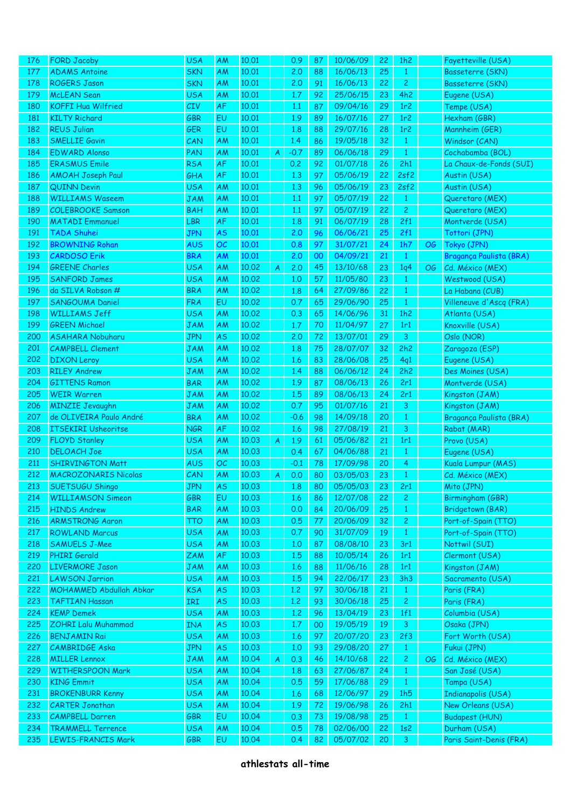| 176 | <b>FORD Jacoby</b>                                 | <b>USA</b> | AM        | 10.01 |   | 0.9    | 87       | 10/06/09             | 22 | 1h2             |     | Fayetteville (USA)                         |
|-----|----------------------------------------------------|------------|-----------|-------|---|--------|----------|----------------------|----|-----------------|-----|--------------------------------------------|
| 177 | <b>ADAMS Antoine</b>                               | <b>SKN</b> | AM        | 10.01 |   | 2,0    | 88       | 16/06/13             | 25 | $\mathbf{1}$    |     | Basseterre (SKN)                           |
| 178 | <b>ROGERS Jason</b>                                | <b>SKN</b> | AM        | 10.01 |   | 2.0    | 91       | 16/06/13             | 22 | $\overline{c}$  |     | Basseterre (SKN)                           |
| 179 | <b>McLEAN</b> Sean                                 | <b>USA</b> | AM        | 10.01 |   | 1.7    | 92       | 25/06/15             | 23 | 4h2             |     | Eugene (USA)                               |
| 180 | <b>KOFFI Hua Wilfried</b>                          | CIV        | AF        | 10.01 |   | 1.1    | 87       | 09/04/16             | 29 | 1r <sub>2</sub> |     | Tempe (USA)                                |
| 181 | <b>KILTY Richard</b>                               | <b>GBR</b> | EU        | 10.01 |   | 1.9    | 89       | 16/07/16             | 27 | 1r2             |     | Hexham (GBR)                               |
| 182 | <b>REUS Julian</b>                                 | <b>GER</b> | EU        | 10.01 |   | 1.8    | 88       | 29/07/16             | 28 | 1r2             |     | Mannheim (GER)                             |
| 183 | <b>SMELLIE Gavin</b>                               | CAN        | AM        | 10.01 |   | 1.4    | 86       | 19/05/18             | 32 | $\mathbf{1}$    |     | Windsor (CAN)                              |
| 184 | <b>EDWARD Alonso</b>                               | PAN        | AM        | 10.01 | A | $-0.7$ | 89       | 06/06/18             | 29 | $\mathbf{1}$    |     | Cochabamba (BOL)                           |
| 185 | <b>ERASMUS Emile</b>                               | <b>RSA</b> | AF        | 10.01 |   | 0.2    | 92       | 01/07/18             | 26 | 2h1             |     | La Chaux-de-Fonds (SUI)                    |
| 186 | <b>AMOAH Joseph Paul</b>                           | GHA        | AF        | 10.01 |   | 1,3    | 97       | 05/06/19             | 22 | 2sf2            |     | Austin (USA)                               |
| 187 | <b>QUINN Devin</b>                                 | <b>USA</b> | AM        | 10.01 |   | 1,3    | 96       | 05/06/19             | 23 | 2sf2            |     | Austin (USA)                               |
| 188 | <b>WILLIAMS Waseem</b>                             | <b>JAM</b> | AM        | 10.01 |   | 1.1    | 97       | 05/07/19             | 22 | $\mathbf{1}$    |     | Queretaro (MEX)                            |
| 189 | <b>COLEBROOKE Samson</b>                           | <b>BAH</b> | AM        | 10.01 |   | 1.1    | 97       | 05/07/19             | 22 | $\overline{2}$  |     | Queretaro (MEX)                            |
| 190 | <b>MATADI Emmanuel</b>                             | LBR        | AF        | 10.01 |   | 1.8    | 91       | 06/07/19             | 28 | 2f1             |     | Montverde (USA)                            |
| 191 | <b>TADA Shuhei</b>                                 | <b>JPN</b> | <b>AS</b> | 10.01 |   | 2.0    | 96       | 06/06/21             | 25 | 2f1             |     | Tottori (JPN)                              |
| 192 | <b>BROWNING Rohan</b>                              | <b>AUS</b> | OC        | 10.01 |   | 0.8    | 97       | 31/07/21             | 24 | 1h7             | OG  | Tokyo (JPN)                                |
| 193 | <b>CARDOSO Erik</b>                                | <b>BRA</b> | AM        | 10.01 |   | 2.0    | 00       | 04/09/21             | 21 | $\mathbf{1}$    |     | Bragança Paulista (BRA)                    |
| 194 | <b>GREENE Charles</b>                              | <b>USA</b> | AM        | 10.02 | A | 2,0    | 45       | 13/10/68             | 23 | 1q4             | OG. | Cd. México (MEX)                           |
| 195 | <b>SANFORD James</b>                               | <b>USA</b> | AM        | 10.02 |   | 1,0    | 57       | 11/05/80             | 23 | $\mathbf{1}$    |     | Westwood (USA)                             |
| 196 | da SILVA Robson #                                  | <b>BRA</b> | AM        | 10.02 |   | 1.8    | 64       | 27/09/86             | 22 | $\mathbf{1}$    |     | La Habana (CUB)                            |
| 197 | SANGOUMA Daniel                                    | <b>FRA</b> | EU        | 10.02 |   | 0.7    | 65       | 29/06/90             | 25 | $\mathbf{1}$    |     | Villeneuve d'Ascq (FRA)                    |
| 198 | <b>WILLIAMS Jeff</b>                               | <b>USA</b> | AM        | 10.02 |   | 0.3    | 65       | 14/06/96             | 31 | 1h2             |     | Atlanta (USA)                              |
| 199 | <b>GREEN Michael</b>                               | <b>JAM</b> | AM        | 10.02 |   | 1.7    | 70       | 11/04/97             | 27 | 1r1             |     | Knoxville (USA)                            |
| 200 | <b>ASAHARA Nobuharu</b>                            | <b>JPN</b> | AS        | 10.02 |   | 2,0    | 72       | 13/07/01             | 29 | 3               |     | Oslo (NOR)                                 |
| 201 | <b>CAMPBELL Clement</b>                            | <b>JAM</b> | AM        | 10.02 |   | 1.8    | 75       | 28/07/07             | 32 | 2h2             |     | Zaragoza (ESP)                             |
| 202 | <b>DIXON</b> Leroy                                 | <b>USA</b> | AM        | 10.02 |   | 1.6    | 83       | 28/06/08             | 25 | 4q1             |     | Eugene (USA)                               |
| 203 | <b>RILEY Andrew</b>                                | <b>JAM</b> | AM        | 10.02 |   | 1.4    | 88       | 06/06/12             | 24 | 2h2             |     | Des Moines (USA)                           |
| 204 | <b>GITTENS Ramon</b>                               | <b>BAR</b> | AM        | 10.02 |   | 1.9    | 87       | 08/06/13             | 26 | 2r1             |     | Montverde (USA)                            |
| 205 | <b>WEIR Warren</b>                                 | <b>JAM</b> | AM        | 10.02 |   | 1.5    | 89       | 08/06/13             | 24 | 2r1             |     | Kingston (JAM)                             |
| 206 | <b>MINZIE Jevaughn</b>                             | <b>JAM</b> |           | 10.02 |   | 0.7    | 95       | 01/07/16             | 21 | 3               |     |                                            |
| 207 | de OLIVEIRA Paulo André                            | <b>BRA</b> | AM        | 10.02 |   | $-0.6$ | 98       | 14/09/18             | 20 | $\mathbf{1}$    |     | Kingston (JAM)<br>Bragança Paulista (BRA)  |
| 208 | <b>ITSEKIRI Usheoritse</b>                         | <b>NGR</b> | AM<br>AF  | 10.02 |   | 1.6    | 98       | 27/08/19             | 21 | 3               |     |                                            |
| 209 | <b>FLOYD Stanley</b>                               | <b>USA</b> |           | 10.03 |   | 1.9    | 61       | 05/06/82             | 21 | 1r1             |     | Rabat (MAR)                                |
|     |                                                    |            | AM        |       | A |        |          |                      |    |                 |     | Provo (USA)                                |
| 210 | <b>DELOACH Joe</b>                                 | <b>USA</b> | AM        | 10.03 |   | 0.4    | 67       | 04/06/88<br>17/09/98 | 21 | $\mathbf{1}$    |     | Eugene (USA)                               |
| 211 | <b>SHIRVINGTON Matt</b>                            | <b>AUS</b> | OC        | 10.03 |   | $-0.1$ | 78<br>80 |                      | 20 | 4               |     | Kuala Lumpur (MAS)                         |
| 212 | <b>MACROZONARIS Nicolas</b>                        | CAN        | AM        | 10.03 | A | 0.0    |          | 03/05/03             | 23 | $\mathbf{1}$    |     | Cd. México (MEX)                           |
| 213 | <b>SUETSUGU Shingo</b><br><b>WILLIAMSON Simeon</b> | JPN.       | AS        | 10.03 |   | 1.8    | 80       | 05/05/03             | 23 | 2r1             |     | Mito (JPN)                                 |
| 214 |                                                    | GBR        | EU        | 10.03 |   | 1.6    | 86<br>84 | 12/07/08             | 22 | $\mathbf{2}$    |     | Birmingham (GBR)                           |
| 215 | <b>HINDS Andrew</b>                                | <b>BAR</b> | AM        | 10.03 |   | 0.0    |          | 20/06/09             | 25 | $\mathbf{1}$    |     | <b>Bridgetown (BAR)</b>                    |
| 216 | <b>ARMSTRONG Aaron</b>                             | TTO        | AM        | 10.03 |   | 0.5    | 77       | 20/06/09             | 32 | $\mathbf{2}$    |     | Port-of-Spain (TTO)<br>Port-of-Spain (TTO) |
| 217 | <b>ROWLAND Marcus</b>                              | <b>USA</b> | AM        | 10.03 |   | 0.7    | 90       | 31/07/09             | 19 | $\mathbf{1}$    |     |                                            |
| 218 | <b>SAMUELS J-Mee</b>                               | <b>USA</b> | AM        | 10.03 |   | 1,0    | 87       | 08/08/10             | 23 | 3r1             |     | Nottwil (SUI)                              |
| 219 | <b>PHIRI Gerald</b>                                | <b>ZAM</b> | AF        | 10.03 |   | 1.5    | 88       | 10/05/14             | 26 | 1r1             |     | Clermont (USA)                             |
| 220 | <b>LIVERMORE Jason</b>                             | <b>JAM</b> | AM        | 10.03 |   | 1.6    | 88       | 11/06/16             | 28 | 1r1             |     | Kingston (JAM)                             |
| 221 | <b>LAWSON Jarrion</b>                              | <b>USA</b> | AM        | 10.03 |   | 1.5    | 94       | 22/06/17             | 23 | 3h3             |     | Sacramento (USA)                           |
| 222 | MOHAMMED Abdullah Abkar                            | <b>KSA</b> | <b>AS</b> | 10.03 |   | 1,2    | 97       | 30/06/18             | 21 | $\mathbf{1}$    |     | Paris (FRA)                                |
| 223 | <b>TAFTIAN Hassan</b>                              | IRI        | <b>AS</b> | 10.03 |   | 1,2    | 93       | 30/06/18             | 25 | 2 <sup>1</sup>  |     | Paris (FRA)                                |
| 224 | <b>KEMP Demek</b>                                  | <b>USA</b> | AM        | 10.03 |   | 1,2    | 96       | 13/04/19             | 23 | 1f1             |     | Columbia (USA)                             |
| 225 | <b>ZOHRI Lalu Muhammad</b>                         | <b>INA</b> | <b>AS</b> | 10.03 |   | 1.7    | 00       | 19/05/19             | 19 | 3               |     | Osaka (JPN)                                |
| 226 | <b>BENJAMIN Rai</b>                                | <b>USA</b> | AM        | 10.03 |   | 1.6    | 97       | 20/07/20             | 23 | 2f3             |     | Fort Worth (USA)                           |
| 227 | <b>CAMBRIDGE Aska</b>                              | <b>JPN</b> | <b>AS</b> | 10.03 |   | 1,0    | 93       | 29/08/20             | 27 | $\mathbf{1}$    |     | Fukui (JPN)                                |
| 228 | <b>MILLER Lennox</b>                               | <b>JAM</b> | AM        | 10.04 | A | 0.3    | 46       | 14/10/68             | 22 | $\mathbf{2}$    | OG. | Cd. México (MEX)                           |
| 229 | <b>WITHERSPOON Mark</b>                            | <b>USA</b> | AM        | 10.04 |   | 1.8    | 63       | 27/06/87             | 24 | $\mathbf{1}$    |     | San José (USA)                             |
| 230 | <b>KING Emmit</b>                                  | <b>USA</b> | AM        | 10.04 |   | 0.5    | 59       | 17/06/88             | 29 | $\mathbf{1}$    |     | Tampa (USA)                                |
| 231 | <b>BROKENBURR Kenny</b>                            | <b>USA</b> | AM        | 10.04 |   | 1.6    | 68       | 12/06/97             | 29 | 1h5             |     | Indianapolis (USA)                         |
| 232 | <b>CARTER Jonathan</b>                             | <b>USA</b> | AM        | 10.04 |   | 1.9    | 72       | 19/06/98             | 26 | 2h1             |     | New Orleans (USA)                          |
| 233 | <b>CAMPBELL Darren</b>                             | <b>GBR</b> | EU        | 10.04 |   | 0.3    | 73       | 19/08/98             | 25 | $\mathbf{1}$    |     | <b>Budapest (HUN)</b>                      |
| 234 | <b>TRAMMELL Terrence</b>                           | <b>USA</b> | AM        | 10.04 |   | 0.5    | 78       | 02/06/00             | 22 | 1s2             |     | Durham (USA)                               |
| 235 | <b>LEWIS-FRANCIS Mark</b>                          | <b>GBR</b> | EU        | 10.04 |   | 0.4    | 82       | 05/07/02             | 20 | 3               |     | Paris Saint-Denis (FRA)                    |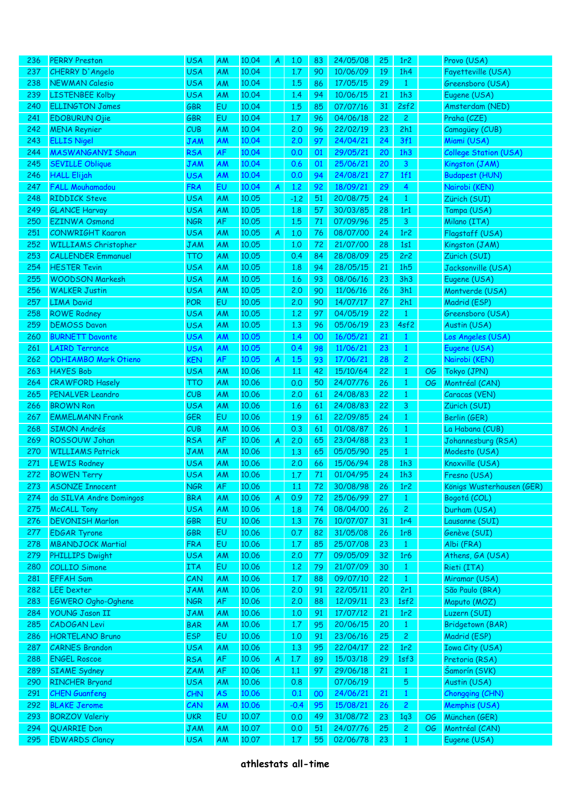| 236        | <b>PERRY Preston</b>                         | <b>USA</b>               | AM        | 10.04          | A | 1.0        | 83       | 24/05/08             | 25       | 1r <sub>2</sub>     |           | Provo (USA)                     |
|------------|----------------------------------------------|--------------------------|-----------|----------------|---|------------|----------|----------------------|----------|---------------------|-----------|---------------------------------|
| 237        | CHERRY D'Angelo                              | <b>USA</b>               | AM        | 10.04          |   | 1.7        | 90       | 10/06/09             | 19       | 1h4                 |           | Fayetteville (USA)              |
| 238        | <b>NEWMAN Calesio</b>                        | <b>USA</b>               | AM        | 10.04          |   | 1.5        | 86       | 17/05/15             | 29       | $\mathbf{1}$        |           | Greensboro (USA)                |
| 239        | <b>LISTENBEE Kolby</b>                       | <b>USA</b>               | <b>AM</b> | 10.04          |   | 1.4        | 94       | 10/06/15             | 21       | 1h3                 |           | Eugene (USA)                    |
| 240        | <b>ELLINGTON James</b>                       | <b>GBR</b>               | EU        | 10.04          |   | 1.5        | 85       | 07/07/16             | 31       | 2sf2                |           | Amsterdam (NED)                 |
| 241        | <b>EDOBURUN Ojie</b>                         | <b>GBR</b>               | EU        | 10.04          |   | 1.7        | 96       | 04/06/18             | 22       | $\overline{2}$      |           | Praha (CZE)                     |
| 242        | <b>MENA Reynier</b>                          | CUB                      | AM        | 10.04          |   | 2.0        | 96       | 22/02/19             | 23       | 2h1                 |           | Camagüey (CUB)                  |
| 243        | <b>ELLIS Nigel</b>                           | <b>JAM</b>               | AM        | 10.04          |   | 2.0        | 97       | 24/04/21             | 24       | 3f1                 |           | Miami (USA)                     |
| 244        | <b>MASWANGANYI Shaun</b>                     | <b>RSA</b>               | AF        | 10.04          |   | 0.0        | 01       | 29/05/21             | 20       | 1h3                 |           | College Station (USA)           |
| 245        | <b>SEVILLE Oblique</b>                       | <b>JAM</b>               | AM        | 10.04          |   | 0.6        | 01       | 25/06/21             | 20       | $\mathbf{3}$        |           | Kingston (JAM)                  |
| 246        | <b>HALL Elijah</b>                           | <b>USA</b>               | AM        | 10.04          |   | 0.0        | 94       | 24/08/21             | 27       | 1f1                 |           | <b>Budapest (HUN)</b>           |
| 247        | <b>FALL Mouhamadou</b>                       | <b>FRA</b>               | EU        | 10.04          | A | 1.2        | 92       | 18/09/21             | 29       | 4                   |           | Nairobi (KEN)                   |
| 248        | <b>RIDDICK Steve</b>                         | <b>USA</b>               | AM        | 10.05          |   | $-1.2$     | 51       | 20/08/75             | 24       | $\mathbf{1}$        |           | Zürich (SUI)                    |
| 249        | <b>GLANCE Harvay</b>                         | <b>USA</b>               | AM        | 10.05          |   | 1.8        | 57       | 30/03/85             | 28       | 1r1                 |           | Tampa (USA)                     |
| 250        | <b>EZINWA Osmond</b>                         | <b>NGR</b>               | AF        | 10.05          |   | 1.5        | 71       | 07/09/96             | 25       | 3                   |           | Milano (ITA)                    |
| 251        | <b>CONWRIGHT Kaaron</b>                      | <b>USA</b>               | AM        | 10.05          | A | 1,0        | 76       | 08/07/00             | 24       | 1r2                 |           | Flagstaff (USA)                 |
| 252        | <b>WILLIAMS Christopher</b>                  | <b>JAM</b>               | AM        | 10.05          |   | 1,0        | 72       | 21/07/00             | 28       | 1s1                 |           | Kingston (JAM)                  |
| 253        | <b>CALLENDER Emmanuel</b>                    | TTO                      | <b>AM</b> | 10.05          |   | 0.4        | 84       | 28/08/09             | 25       | 2r2                 |           | Zürich (SUI)                    |
| 254        | <b>HESTER Tevin</b>                          | <b>USA</b>               | AM        | 10.05          |   | 1.8        | 94       | 28/05/15             | 21       | 1h5                 |           | Jacksonville (USA)              |
| 255        | <b>WOODSON Markesh</b>                       | <b>USA</b>               | <b>AM</b> | 10.05          |   | 1.6        | 93       | 08/06/16             | 23       | 3h3                 |           | Eugene (USA)                    |
| 256        | <b>WALKER Justin</b>                         | <b>USA</b>               | <b>AM</b> | 10.05          |   | 2.0        | 90       | 11/06/16             | 26       | 3h1                 |           | Montverde (USA)                 |
| 257        | <b>LIMA David</b>                            | <b>POR</b>               | EU        | 10.05          |   | 2,0        | 90       | 14/07/17             | 27       | 2h1                 |           | Madrid (ESP)                    |
| 258        | <b>ROWE Rodney</b>                           | <b>USA</b>               | AM        | 10.05          |   | 1,2        | 97       | 04/05/19             | 22       | $\mathbf{1}$        |           | Greensboro (USA)                |
| 259        | <b>DEMOSS Davon</b>                          | <b>USA</b>               | AM        | 10.05          |   | 1.3        | 96       | 05/06/19             | 23       | 4sf2                |           | Austin (USA)                    |
| 260        | <b>BURNETT Davonte</b>                       | <b>USA</b>               | AM        | 10.05          |   | 1.4        | 00       | 16/05/21             | 21       | $\mathbf{1}$        |           | Los Angeles (USA)               |
| 261        | <b>LAIRD Terrance</b>                        | <b>USA</b>               | AM        | 10.05          |   | 0.4        | 98       | 11/06/21             | 23       | $\mathbf{1}$        |           | Eugene (USA)                    |
| 262        | <b>ODHIAMBO Mark Otieno</b>                  | KEN                      | AF        | 10.05          | A | 1.5        | 93       | 17/06/21             | 28       | $\overline{c}$      |           | Nairobi (KEN)                   |
| 263        | <b>HAYES Bob</b>                             | <b>USA</b>               | AM        | 10.06          |   | 1.1        | 42       | 15/10/64             | 22       | $\mathbf{1}$        | <b>OG</b> | Tokyo (JPN)                     |
| 264        | <b>CRAWFORD Hasely</b>                       | TTO                      | AM        | 10.06          |   | 0.0        | 50       | 24/07/76             | 26       | $\mathbf{1}$        | OG        | Montréal (CAN)                  |
| 265        | <b>PENALVER Leandro</b>                      | CUB                      | AM        | 10.06          |   | 2,0        | 61       | 24/08/83             | 22       | $\mathbf{1}$        |           | Caracas (VEN)                   |
| 266        | <b>BROWN Ron</b>                             | <b>USA</b>               | AM        | 10.06          |   | 1.6        | 61       | 24/08/83             | 22       | 3                   |           | Zürich (SUI)                    |
| 267        | <b>EMMELMANN Frank</b>                       | <b>GER</b>               | EU        | 10.06          |   | 1.9        | 61       | 22/09/85             | 24       | $\mathbf{1}$        |           | Berlin (GER)                    |
| 268        | <b>SIMON Andrés</b>                          | CUB                      | AM        | 10.06          |   | 0.3        | 61       | 01/08/87             | 26       | $\mathbf{1}$        |           | La Habana (CUB)                 |
| 269        | ROSSOUW Johan                                | <b>RSA</b>               | AF        | 10.06          | A | 2,0        | 65       | 23/04/88             | 23       | $\mathbf{1}$        |           | Johannesburg (RSA)              |
| 270        | <b>WILLIAMS Patrick</b>                      | <b>JAM</b>               | AM        | 10.06          |   | 1,3        | 65       | 05/05/90             | 25       | $\mathbf{1}$        |           | Modesto (USA)                   |
| 271        | <b>LEWIS Rodney</b>                          | <b>USA</b>               | AM        | 10.06          |   | 2.0        | 66       | 15/06/94             | 28       | 1h3                 |           | Knoxville (USA)                 |
| 272        | <b>BOWEN Terry</b>                           | <b>USA</b>               | AM        | 10.06          |   | 1.7        | 71       | 01/04/95             | 24       | 1h3                 |           | Fresno (USA)                    |
| 273        | ASONZE Innocent                              | <b>NGR</b>               | АF        | 10.06          |   | 1,1        | 72       | 30/08/98             | 26       | 1r <sub>2</sub>     |           | Königs Wusterhausen (GER)       |
| 274        | da SILVA Andre Domingos                      | <b>BRA</b>               | AM        | 10.06          | A | 0.9        | 72       | 25/06/99             | 27       | $\mathbf{1}$        |           | Bogotá (COL)                    |
| 275        | <b>McCALL Tony</b>                           | <b>USA</b>               | AM        | 10.06          |   | 1.8        | 74       | 08/04/00             | 26       | $\mathbf{2}$        |           | Durham (USA)                    |
| 276        | <b>DEVONISH Marlon</b>                       | <b>GBR</b>               | EU        | 10.06          |   | 1,3        | 76       | 10/07/07             | 31       | 1r4                 |           | Lausanne (SUI)                  |
| 277        | <b>EDGAR Tyrone</b>                          | <b>GBR</b>               | EU        | 10.06          |   | 0.7        | 82       | 31/05/08             | 26       | 1r8                 |           | Genève (SUI)                    |
| 278        | <b>MBANDJOCK Martial</b>                     | <b>FRA</b>               | EU        | 10.06          |   | 1.7        | 85       | 25/07/08             | 23       | $\mathbf{1}$        |           | Albi (FRA)                      |
| 279        | <b>PHILLIPS Dwight</b>                       | <b>USA</b>               | AM        | 10.06          |   | 2,0        | 77       | 09/05/09             | 32       | 1r6                 |           | Athens, GA (USA)                |
| 280        | <b>COLLIO Simone</b>                         | <b>ITA</b>               | EU        | 10.06          |   | 1,2        | 79       | 21/07/09             | 30       | $\mathbf{1}$        |           | Rieti (ITA)                     |
| 281        | <b>EFFAH Sam</b>                             | CAN                      | AM        | 10.06          |   | 1.7        | 88       | 09/07/10             | 22       | $\mathbf{1}$        |           | Miramar (USA)                   |
| 282        | <b>LEE Dexter</b>                            | JAM                      | AM        | 10.06          |   | 2.0        | 91       | 22/05/11             | 20       | 2r1                 |           | São Paulo (BRA)                 |
| 283        | EGWERO Ogho-Oghene                           | <b>NGR</b>               | AF        | 10.06          |   | 2,0        | 88       | 12/09/11             | 23       | 1sf2                |           | Maputo (MOZ)                    |
| 284        | <b>YOUNG Jason II</b>                        | JAM                      | AM        | 10.06          |   | 1,0        | 91       | 17/07/12             | 21       | 1r2                 |           | Luzern (SUI)                    |
| 285        | <b>CADOGAN Levi</b>                          | <b>BAR</b>               | AM        | 10.06          |   | 1.7        | 95       | 20/06/15             | 20       | $\mathbf{1}$        |           | Bridgetown (BAR)                |
| 286        | <b>HORTELANO Bruno</b>                       | <b>ESP</b>               | EU        | 10.06          |   | 1,0        | 91       | 23/06/16             | 25       | $\overline{c}$      |           | Madrid (ESP)                    |
| 287        | <b>CARNES Brandon</b>                        | <b>USA</b>               | AM        | 10.06          |   | 1,3        | 95       | 22/04/17             | 22       | 1r2                 |           | <b>Iowa City (USA)</b>          |
| 288        | <b>ENGEL Roscoe</b>                          | <b>RSA</b>               | AF        | 10.06          | A | 1.7        | 89       | 15/03/18             | 29       | 1sf3                |           | Pretoria (RSA)                  |
| 289        | <b>SIAME</b> Sydney                          | <b>ZAM</b>               | AF        | 10.06          |   | $1.1\,$    | 97       | 29/06/18             | 21       | $\mathbf{1}$        |           | Šamorín (SVK)                   |
| 290        | <b>RINCHER Bryand</b>                        | <b>USA</b>               | AM        | 10.06          |   | 0.8        |          | 07/06/19             |          | 5                   |           | Austin (USA)                    |
| 291        | <b>CHEN Guanfeng</b>                         | CHN                      | <b>AS</b> | 10.06          |   | 0.1        | 00       | 24/06/21<br>15/08/21 | 21       | $\mathbf{1}$        |           | Chongqing (CHN)                 |
| 292<br>293 | <b>BLAKE Jerome</b><br><b>BORZOV Valeriy</b> | CAN                      | AM<br>EU  | 10.06<br>10.07 |   | $-0.4$     | 95<br>49 | 31/08/72             | 26       | $\overline{c}$      |           | Memphis (USA)                   |
| 294        | <b>QUARRIE Don</b>                           | <b>UKR</b><br><b>JAM</b> | AM        | 10.07          |   | 0.0<br>0.0 | 51       | 24/07/76             | 23<br>25 | 1q3<br>$\mathbf{2}$ | OG.<br>OG | München (GER)<br>Montréal (CAN) |
| 295        | <b>EDWARDS Clancy</b>                        | <b>USA</b>               | AM        | 10.07          |   | 1.7        | 55       | 02/06/78             | 23       | $\mathbf{1}$        |           | Eugene (USA)                    |
|            |                                              |                          |           |                |   |            |          |                      |          |                     |           |                                 |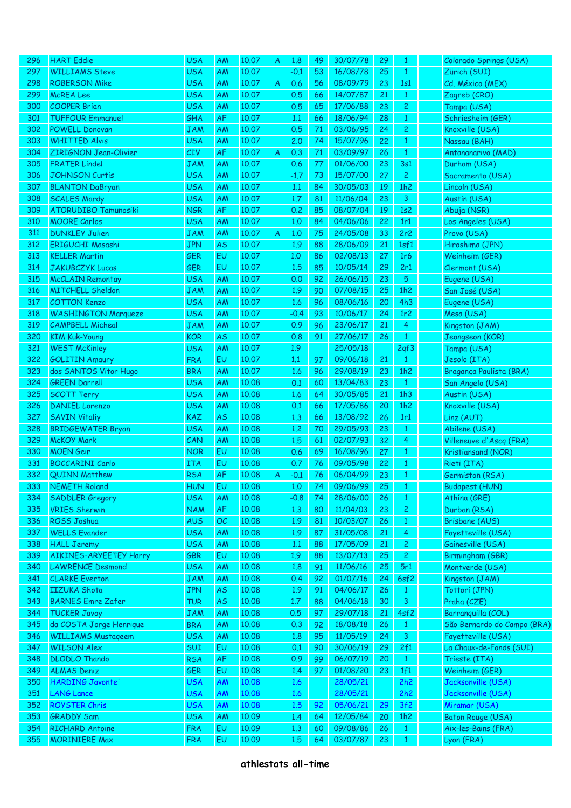| 296 | <b>HART</b> Eddie                             | <b>USA</b> | <b>AM</b> | 10.07 | A | 1.8    | 49 | 30/07/78 | 29 | 1               | Colorado Springs (USA)      |
|-----|-----------------------------------------------|------------|-----------|-------|---|--------|----|----------|----|-----------------|-----------------------------|
| 297 | <b>WILLIAMS Steve</b>                         | <b>USA</b> | <b>AM</b> | 10.07 |   | $-0.1$ | 53 | 16/08/78 | 25 | $\mathbf{1}$    | Zürich (SUI)                |
| 298 | <b>ROBERSON Mike</b>                          | <b>USA</b> | <b>AM</b> | 10.07 | A | 0.6    | 56 | 08/09/79 | 23 | 1s1             | Cd. México (MEX)            |
| 299 | <b>McREA Lee</b>                              | <b>USA</b> | <b>AM</b> | 10.07 |   | 0.5    | 66 | 14/07/87 | 21 | $\mathbf{1}$    | Zagreb (CRO)                |
| 300 | <b>COOPER Brian</b>                           | <b>USA</b> | <b>AM</b> | 10.07 |   | 0.5    | 65 | 17/06/88 | 23 | 2               | Tampa (USA)                 |
| 301 | <b>TUFFOUR Emmanuel</b>                       | GHA        | <b>AF</b> | 10.07 |   | 1.1    | 66 | 18/06/94 | 28 | $\mathbf{1}$    | Schriesheim (GER)           |
| 302 | <b>POWELL Donovan</b>                         | JAM        | AM        | 10.07 |   | 0.5    | 71 | 03/06/95 | 24 | $\overline{c}$  | Knoxville (USA)             |
| 303 | <b>WHITTED Alvis</b>                          | <b>USA</b> | <b>AM</b> | 10.07 |   | 2.0    | 74 | 15/07/96 | 22 | $\mathbf{1}$    | Nassau (BAH)                |
| 304 | <b>ZIRIGNON Jean-Olivier</b>                  | CIV        | AF        | 10.07 | A | 0.3    | 71 | 03/09/97 | 26 | $\mathbf{1}$    | Antananarivo (MAD)          |
| 305 | <b>FRATER Lindel</b>                          | JAM        | AM        | 10.07 |   | 0.6    | 77 | 01/06/00 | 23 | 3s1             | Durham (USA)                |
| 306 | <b>JOHNSON Curtis</b>                         | <b>USA</b> | AM        | 10.07 |   | $-1.7$ | 73 | 15/07/00 | 27 | $\overline{c}$  | Sacramento (USA)            |
| 307 | <b>BLANTON DaBryan</b>                        | <b>USA</b> | AM        | 10.07 |   | 1.1    | 84 | 30/05/03 | 19 | 1h2             | Lincoln (USA)               |
| 308 | <b>SCALES Mardy</b>                           | <b>USA</b> | AM        | 10.07 |   | 1.7    | 81 | 11/06/04 | 23 | 3               | Austin (USA)                |
| 309 | <b>ATORUDIBO Tamunosiki</b>                   | <b>NGR</b> | AF        | 10.07 |   | 0.2    | 85 | 08/07/04 | 19 | 1s <sub>2</sub> | Abuja (NGR)                 |
| 310 | <b>MOORE Carlos</b>                           | <b>USA</b> | AM        | 10.07 |   | 1,0    | 84 | 04/06/06 | 22 | 1r1             | Los Angeles (USA)           |
| 311 | <b>DUNKLEY Julien</b>                         | <b>JAM</b> | AM        | 10.07 | A | 1,0    | 75 | 24/05/08 | 33 | 2r2             | Provo (USA)                 |
| 312 | ERIGUCHI Masashi                              | JPN        | <b>AS</b> | 10.07 |   | 1.9    | 88 | 28/06/09 | 21 | 1sf1            | Hiroshima (JPN)             |
| 313 | <b>KELLER Martin</b>                          | <b>GER</b> | EU        | 10.07 |   | 1.0    | 86 | 02/08/13 | 27 | 1r6             | Weinheim (GER)              |
| 314 | <b>JAKUBCZYK Lucas</b>                        | <b>GER</b> | EU        | 10.07 |   | 1.5    | 85 | 10/05/14 | 29 | 2r1             | Clermont (USA)              |
| 315 | <b>McCLAIN Remontay</b>                       | <b>USA</b> | AM        | 10.07 |   | 0.0    | 92 | 26/06/15 | 23 | 5               | Eugene (USA)                |
| 316 | <b>MITCHELL Sheldon</b>                       | JAM        | AM        | 10.07 |   | 1.9    | 90 | 07/08/15 | 25 | 1h2             | San José (USA)              |
| 317 | <b>COTTON Kenzo</b>                           | <b>USA</b> | AM        | 10.07 |   | 1.6    | 96 | 08/06/16 | 20 | 4h3             | Eugene (USA)                |
| 318 | <b>WASHINGTON Marqueze</b>                    | <b>USA</b> | AM        | 10.07 |   | $-0.4$ | 93 | 10/06/17 | 24 | 1r2             | Mesa (USA)                  |
| 319 | <b>CAMPBELL Micheal</b>                       | JAM        | AM        | 10.07 |   | 0.9    | 96 | 23/06/17 | 21 | 4               | Kingston (JAM)              |
| 320 | <b>KIM Kuk-Young</b>                          | <b>KOR</b> | <b>AS</b> | 10.07 |   | 0.8    | 91 | 27/06/17 | 26 | $\mathbf{1}$    | Jeongseon (KOR)             |
| 321 |                                               | <b>USA</b> |           | 10.07 |   | 1.9    |    | 25/05/18 |    | 2qf3            |                             |
| 322 | <b>WEST McKinley</b><br><b>GOLITIN Amaury</b> | <b>FRA</b> | AM<br>EU  | 10.07 |   | 1.1    | 97 | 09/06/18 | 21 |                 | Tampa (USA)                 |
|     |                                               |            |           |       |   |        |    |          |    | $\mathbf{1}$    | Jesolo (ITA)                |
| 323 | dos SANTOS Vitor Hugo                         | <b>BRA</b> | AM        | 10.07 |   | 1.6    | 96 | 29/08/19 | 23 | 1h2             | Bragança Paulista (BRA)     |
| 324 | <b>GREEN Darrell</b>                          | <b>USA</b> | AM        | 10.08 |   | 0.1    | 60 | 13/04/83 | 23 | $\mathbf{1}$    | San Angelo (USA)            |
| 325 | <b>SCOTT Terry</b>                            | <b>USA</b> | <b>AM</b> | 10.08 |   | 1.6    | 64 | 30/05/85 | 21 | 1h3             | Austin (USA)                |
| 326 | <b>DANIEL Lorenzo</b>                         | <b>USA</b> | AM        | 10.08 |   | 0.1    | 66 | 17/05/86 | 20 | 1h2             | Knoxville (USA)             |
| 327 | <b>SAVIN Vitaliy</b>                          | <b>KAZ</b> | <b>AS</b> | 10.08 |   | 1,3    | 66 | 13/08/92 | 26 | 1r1             | Linz (AUT)                  |
| 328 | <b>BRIDGEWATER Bryan</b>                      | <b>USA</b> | <b>AM</b> | 10.08 |   | 1,2    | 70 | 29/05/93 | 23 | $\mathbf{1}$    | Abilene (USA)               |
| 329 | <b>McKOY Mark</b>                             | CAN        | AM        | 10.08 |   | 1.5    | 61 | 02/07/93 | 32 | 4               | Villeneuve d'Ascq (FRA)     |
| 330 | <b>MOEN</b> Geir                              | <b>NOR</b> | EU        | 10.08 |   | 0.6    | 69 | 16/08/96 | 27 | $\mathbf{1}$    | Kristiansand (NOR)          |
| 331 | <b>BOCCARINI Carlo</b>                        | <b>ITA</b> | EU        | 10.08 |   | 0.7    | 76 | 09/05/98 | 22 | $\mathbf{1}$    | Rieti (ITA)                 |
| 332 | <b>QUINN Matthew</b>                          | <b>RSA</b> | <b>AF</b> | 10.08 | A | $-0.1$ | 76 | 06/04/99 | 23 | $\mathbf{1}$    | Germiston (RSA)             |
| 333 | <b>NEMETH Roland</b>                          | HUN        | EÛ        | 10.08 |   | 1.0    | 74 | 09/06/99 | 25 | -1              | Budapest (HUN)              |
| 334 | <b>SADDLER Gregory</b>                        | <b>USA</b> | AM        | 10.08 |   | $-0.8$ | 74 | 28/06/00 | 26 | $\mathbf{1}$    | Athína (GRE)                |
| 335 | <b>VRIES Sherwin</b>                          | <b>NAM</b> | AF        | 10.08 |   | 1,3    | 80 | 11/04/03 | 23 | $\overline{c}$  | Durban (RSA)                |
| 336 | ROSS Joshua                                   | <b>AUS</b> | OC        | 10.08 |   | 1.9    | 81 | 10/03/07 | 26 | $\mathbf{1}$    | Brisbane (AUS)              |
| 337 | <b>WELLS Evander</b>                          | <b>USA</b> | AM        | 10.08 |   | 1.9    | 87 | 31/05/08 | 21 | 4               | Fayetteville (USA)          |
| 338 | <b>HALL Jeremy</b>                            | <b>USA</b> | AM        | 10.08 |   | 1.1    | 88 | 17/05/09 | 21 | 2               | Gainesville (USA)           |
| 339 | <b>AIKINES-ARYEETEY Harry</b>                 | <b>GBR</b> | EU        | 10.08 |   | 1.9    | 88 | 13/07/13 | 25 | $\overline{c}$  | Birmingham (GBR)            |
| 340 | <b>LAWRENCE Desmond</b>                       | <b>USA</b> | AM        | 10.08 |   | 1.8    | 91 | 11/06/16 | 25 | 5r1             | Montverde (USA)             |
| 341 | <b>CLARKE</b> Everton                         | JAM        | AM        | 10.08 |   | 0.4    | 92 | 01/07/16 | 24 | 6sf2            | Kingston (JAM)              |
| 342 | <b>IIZUKA Shota</b>                           | <b>JPN</b> | <b>AS</b> | 10.08 |   | 1.9    | 91 | 04/06/17 | 26 | $\mathbf{1}$    | Tottori (JPN)               |
| 343 | <b>BARNES Emre Zafer</b>                      | TUR        | <b>AS</b> | 10.08 |   | 1.7    | 88 | 04/06/18 | 30 | 3               | Praha (CZE)                 |
| 344 | <b>TUCKER Javoy</b>                           | <b>JAM</b> | AM        | 10.08 |   | 0.5    | 97 | 29/07/18 | 21 | 4sf2            | Barranquilla (COL)          |
| 345 | da COSTA Jorge Henrique                       | <b>BRA</b> | AM        | 10.08 |   | 0.3    | 92 | 18/08/18 | 26 | $\mathbf{1}$    | São Bernardo do Campo (BRA) |
| 346 | <b>WILLIAMS Mustageem</b>                     | <b>USA</b> | AM        | 10.08 |   | 1.8    | 95 | 11/05/19 | 24 | 3               | Fayetteville (USA)          |
| 347 | <b>WILSON Alex</b>                            | SUI        | EU        | 10.08 |   | 0.1    | 90 | 30/06/19 | 29 | 2f1             | La Chaux-de-Fonds (SUI)     |
| 348 | <b>DLODLO Thando</b>                          | <b>RSA</b> | <b>AF</b> | 10.08 |   | 0.9    | 99 | 06/07/19 | 20 | $\mathbf{1}$    | Trieste (ITA)               |
| 349 | <b>ALMAS Deniz</b>                            | <b>GER</b> | EU        | 10.08 |   | 1,4    | 97 | 01/08/20 | 23 | 1f1             | Weinheim (GER)              |
| 350 | HARDING Javonte'                              | <b>USA</b> | AM        | 10.08 |   | 1.6    |    | 28/05/21 |    | 2h2             | Jacksonville (USA)          |
| 351 | <b>LANG Lance</b>                             | <b>USA</b> | AM        | 10.08 |   | 1.6    |    | 28/05/21 |    | 2h2             | Jacksonville (USA)          |
| 352 | <b>ROYSTER Chris</b>                          | <b>USA</b> | AM        | 10.08 |   | 1.5    | 92 | 05/06/21 | 29 | 3f2             | Miramar (USA)               |
| 353 | <b>GRADDY Sam</b>                             | <b>USA</b> | AM        | 10.09 |   | 1.4    | 64 | 12/05/84 | 20 | 1h2             | Baton Rouge (USA)           |
| 354 | <b>RICHARD Antoine</b>                        | <b>FRA</b> | EU        | 10.09 |   | 1,3    | 60 | 09/08/86 | 26 | $\mathbf{1}$    | Aix-les-Bains (FRA)         |
| 355 | <b>MORINIERE Max</b>                          | <b>FRA</b> | EU        | 10.09 |   | 1.5    | 64 | 03/07/87 | 23 | $\mathbf{1}$    | Lyon (FRA)                  |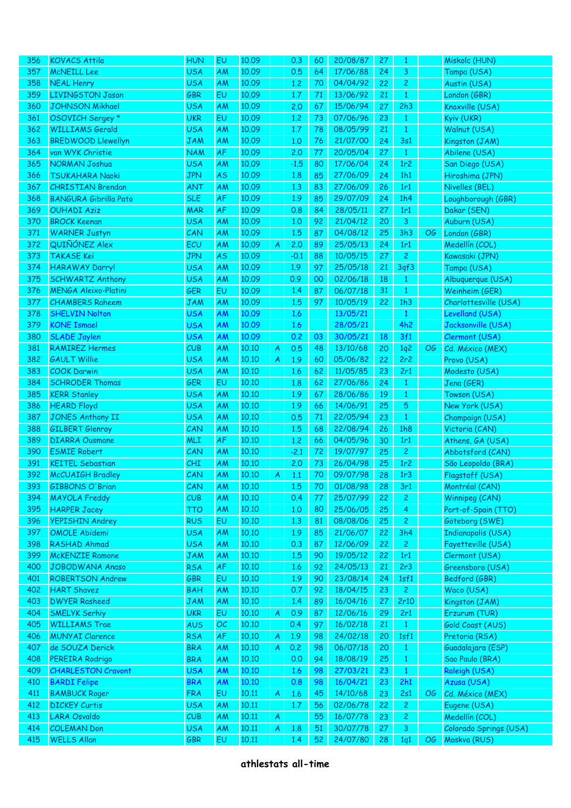| 356  | <b>KOVACS Attila</b>         | <b>HUN</b> | EU        | 10.09 |   | 0.3    | 60 | 20/08/87 | 27 | 1              |    | Miskolc (HUN)          |
|------|------------------------------|------------|-----------|-------|---|--------|----|----------|----|----------------|----|------------------------|
| 357  | <b>McNEILL Lee</b>           | <b>USA</b> | AM        | 10.09 |   | 0.5    | 64 | 17/06/88 | 24 | 3              |    | Tampa (USA)            |
| 358  | <b>NEAL Henry</b>            | <b>USA</b> | AM        | 10.09 |   | 1.2    | 70 | 04/04/92 | 22 | $\overline{c}$ |    | Austin (USA)           |
| 359  | <b>LIVINGSTON Jason</b>      | <b>GBR</b> | EU        | 10.09 |   | 1.7    | 71 | 13/06/92 | 21 | $\mathbf{1}$   |    | London (GBR)           |
| 360  | <b>JOHNSON Mikhael</b>       | <b>USA</b> | AM        | 10.09 |   | 2.0    | 67 | 15/06/94 | 27 | 2h3            |    | Knoxville (USA)        |
| 361  | OSOVICH Sergey *             | <b>UKR</b> | EU        | 10.09 |   | 1.2    | 73 | 07/06/96 | 23 | $\mathbf{1}$   |    | Kyiv (UKR)             |
| 362  | <b>WILLIAMS Gerald</b>       | <b>USA</b> | AM        | 10.09 |   | 1.7    | 78 | 08/05/99 | 21 | $\mathbf{1}$   |    | Walnut (USA)           |
| 363  | <b>BREDWOOD Llewellyn</b>    | <b>JAM</b> | AM        | 10.09 |   | 1,0    | 76 | 21/07/00 | 24 | 3s1            |    | Kingston (JAM)         |
| 364  | van WYK Christie             | <b>NAM</b> | AF        | 10.09 |   | 2.0    | 77 | 20/05/04 | 27 | $\mathbf{1}$   |    | Abilene (USA)          |
| 365  | <b>NORMAN Joshua</b>         | <b>USA</b> | AM        | 10.09 |   | $-1.5$ | 80 | 17/06/04 | 24 | 1r2            |    | San Diego (USA)        |
| 366  | <b>TSUKAHARA Naoki</b>       | <b>JPN</b> | AS        | 10.09 |   | 1.8    | 85 | 27/06/09 | 24 | 1h1            |    | Hiroshima (JPN)        |
| 367  | <b>CHRISTIAN Brendan</b>     | <b>ANT</b> |           | 10.09 |   | 1,3    | 83 | 27/06/09 | 26 | 1r1            |    | Nivelles (BEL)         |
|      |                              |            | AM        |       |   |        |    |          |    |                |    |                        |
| 368  | <b>BANGURA Gibrilla Pato</b> | <b>SLE</b> | AF        | 10.09 |   | 1.9    | 85 | 29/07/09 | 24 | 1h4            |    | Loughborough (GBR)     |
| 369  | <b>OUHADI Aziz</b>           | <b>MAR</b> | AF        | 10.09 |   | 0.8    | 84 | 28/05/11 | 27 | 1r1            |    | Dakar (SEN)            |
| 370  | <b>BROCK Keenan</b>          | <b>USA</b> | AM        | 10.09 |   | 1,0    | 92 | 21/04/12 | 20 | 3              |    | Auburn (USA)           |
| 371  | <b>WARNER Justyn</b>         | CAN        | AM        | 10.09 |   | 1.5    | 87 | 04/08/12 | 25 | 3h3            | OG | London (GBR)           |
| 372  | QUIÑÓNEZ Alex                | ECU        | AM        | 10.09 | A | 2.0    | 89 | 25/05/13 | 24 | 1r1            |    | Medellín (COL)         |
| 373  | TAKASE Kei                   | <b>JPN</b> | AS        | 10.09 |   | $-0.1$ | 88 | 10/05/15 | 27 | $\overline{c}$ |    | Kawasaki (JPN)         |
| 374  | <b>HARAWAY Darryl</b>        | <b>USA</b> | AM        | 10.09 |   | 1.9    | 97 | 25/05/18 | 21 | 3qf3           |    | Tampa (USA)            |
| 375  | <b>SCHWARTZ Anthony</b>      | <b>USA</b> | AM        | 10.09 |   | 0.9    | 00 | 02/06/18 | 18 | $\mathbf{1}$   |    | Albuquerque (USA)      |
| 376  | <b>MENGA Aleixo-Platini</b>  | <b>GER</b> | EU        | 10.09 |   | 1.4    | 87 | 06/07/18 | 31 | $\mathbf{1}$   |    | Weinheim (GER)         |
| 377  | <b>CHAMBERS Raheem</b>       | <b>JAM</b> | AM        | 10.09 |   | 1.5    | 97 | 10/05/19 | 22 | 1h3            |    | Charlottesville (USA)  |
| 378  | <b>SHELVIN Nolton</b>        | <b>USA</b> | AM        | 10.09 |   | 1.6    |    | 13/05/21 |    | $\mathbf{1}$   |    | Levelland (USA)        |
| 379  | <b>KONE Ismael</b>           | <b>USA</b> | AM        | 10.09 |   | 1.6    |    | 28/05/21 |    | 4h2            |    | Jacksonville (USA)     |
| 380  | <b>SLADE Jaylen</b>          | <b>USA</b> | AM        | 10.09 |   | 0.2    | 03 | 30/05/21 | 18 | 3f1            |    | Clermont (USA)         |
| 381  | <b>RAMIREZ Hermes</b>        | CUB        | AM        | 10.10 | A | 0.5    | 48 | 13/10/68 | 20 | 1q2            | OG | Cd. México (MEX)       |
| 382  | <b>GAULT Willie</b>          | <b>USA</b> | AM        | 10.10 | A | 1.9    | 60 | 05/06/82 | 22 | 2r2            |    | Provo (USA)            |
| 383  | <b>COOK Darwin</b>           | <b>USA</b> | AM        | 10.10 |   | 1.6    | 62 | 11/05/85 | 23 | 2r1            |    | Modesto (USA)          |
| 384  | <b>SCHRODER Thomas</b>       | GER        | EU        | 10.10 |   | 1.8    | 62 | 27/06/86 | 24 | $\mathbf{1}$   |    | Jena (GER)             |
| 385  | <b>KERR Stanley</b>          | <b>USA</b> | AM        | 10.10 |   | 1.9    | 67 | 28/06/86 | 19 | $\mathbf{1}$   |    | Towson (USA)           |
| 386  | <b>HEARD Floyd</b>           | <b>USA</b> | AM        | 10.10 |   | 1.9    | 66 | 14/06/91 | 25 | 5              |    | New York (USA)         |
| 387  | <b>JONES Anthony II</b>      | <b>USA</b> | AM        | 10.10 |   | 0.5    | 71 | 22/05/94 | 23 | $\mathbf{1}$   |    | Champaign (USA)        |
| 388  | <b>GILBERT Glenroy</b>       | CAN        | AM        | 10.10 |   | 1.5    | 68 | 22/08/94 | 26 | 1h8            |    | Victoria (CAN)         |
| 389  | <b>DIARRA Ousmane</b>        | <b>MLI</b> | AF        | 10.10 |   | 1.2    | 66 | 04/05/96 | 30 | 1r1            |    | Athens, GA (USA)       |
| 390  | <b>ESMIE Robert</b>          | CAN        | AM        | 10.10 |   | $-2.1$ | 72 | 19/07/97 | 25 | $\overline{c}$ |    | Abbotsford (CAN)       |
| 391  | <b>KEITEL Sebastian</b>      | CHI        |           | 10.10 |   | 2.0    | 73 | 26/04/98 | 25 | 1r2            |    | São Leopoldo (BRA)     |
|      |                              |            | AM        |       |   |        |    | 09/07/98 |    |                |    |                        |
| 392  | <b>McCUAIGH Bradley</b>      | CAN        | AM        | 10.10 | A | 1.1    | 70 |          | 28 | 1r3            |    | Flagstaff (USA)        |
| 393. | <b>GIBBONS O'Brian</b>       | CAN        | AM        | 10.10 |   | 1.5    | 70 | 01/08/98 | 28 | 3r1            |    | Montréal (CAN)         |
| 394  | <b>MAYOLA Freddy</b>         | CUB        | AM        | 10.10 |   | 0.4    | 77 | 25/07/99 | 22 | $\overline{c}$ |    | Winnipeg (CAN)         |
| 395  | <b>HARPER Jacey</b>          | <b>TTO</b> | AM        | 10.10 |   | 1,0    | 80 | 25/06/05 | 25 | 4              |    | Port-of-Spain (TTO)    |
| 396  | <b>YEPISHIN Andrey</b>       | <b>RUS</b> | EU        | 10.10 |   | 1,3    | 81 | 08/08/06 | 25 | $\mathbf{2}$   |    | Göteborg (SWE)         |
| 397  | <b>OMOLE Abidemi</b>         | <b>USA</b> | AM        | 10.10 |   | 1.9    | 85 | 21/06/07 | 22 | 3h4            |    | Indianapolis (USA)     |
| 398  | RASHAD Ahmad                 | <b>USA</b> | AM        | 10.10 |   | 0.3    | 87 | 12/06/09 | 22 | $\mathbf{2}$   |    | Fayetteville (USA)     |
| 399  | <b>McKENZIE Ramone</b>       | <b>JAM</b> | AM        | 10.10 |   | 1.5    | 90 | 19/05/12 | 22 | 1r1            |    | Clermont (USA)         |
| 400  | JOBODWANA Anaso              | <b>RSA</b> | AF        | 10.10 |   | 1.6    | 92 | 24/05/13 | 21 | 2r3            |    | Greensboro (USA)       |
| 401  | <b>ROBERTSON Andrew</b>      | GBR        | EU        | 10.10 |   | 1.9    | 90 | 23/08/14 | 24 | 1sf1           |    | Bedford (GBR)          |
| 402  | <b>HART Shavez</b>           | <b>BAH</b> | AM        | 10.10 |   | 0.7    | 92 | 18/04/15 | 23 | $\overline{2}$ |    | Waco (USA)             |
| 403  | <b>DWYER Rasheed</b>         | <b>JAM</b> | AM        | 10.10 |   | 1.4    | 89 | 16/04/16 | 27 | 2r10           |    | Kingston (JAM)         |
| 404  | <b>SMELYK Serhiy</b>         | <b>UKR</b> | EU        | 10.10 | A | 0.9    | 87 | 12/06/16 | 29 | 2r1            |    | Erzurum (TUR)          |
| 405  | <b>WILLIAMS Trae</b>         | <b>AUS</b> | OC        | 10.10 |   | 0.4    | 97 | 16/02/18 | 21 | $\mathbf{1}$   |    | Gold Coast (AUS)       |
| 406  | <b>MUNYAI Clarence</b>       | <b>RSA</b> | AF        | 10.10 | A | 1.9    | 98 | 24/02/18 | 20 | 1sf1           |    | Pretoria (RSA)         |
| 407  | de SOUZA Derick              | <b>BRA</b> | AM        | 10.10 | A | 0.2    | 98 | 06/07/18 | 20 | $\mathbf{1}$   |    | Guadalajara (ESP)      |
| 408  | PEREIRA Rodrigo              | <b>BRA</b> | AM        | 10.10 |   | 0.0    | 94 | 18/08/19 | 25 | $\mathbf{1}$   |    | Sao Paulo (BRA)        |
| 409  | <b>CHARLESTON Cravont</b>    | <b>USA</b> | AM        | 10.10 |   | 1.6    | 98 | 27/03/21 | 23 | $\mathbf{1}$   |    | Raleigh (USA)          |
| 410  | <b>BARDI Felipe</b>          | <b>BRA</b> | <b>AM</b> | 10.10 |   | 0.8    | 98 | 16/04/21 | 23 | 2h1            |    | Azusa (USA)            |
| 411  | <b>BAMBUCK Roger</b>         | <b>FRA</b> | EU        | 10.11 | A | 1.6    | 45 | 14/10/68 | 23 | 2s1            | OG | Cd. México (MEX)       |
| 412  | <b>DICKEY Curtis</b>         | <b>USA</b> | AM        | 10.11 |   | 1.7    | 56 | 02/06/78 | 22 | $\overline{c}$ |    | Eugene (USA)           |
| 413  | <b>LARA Osvaldo</b>          | CUB        | AM        | 10.11 | A |        | 55 | 16/07/78 | 23 | $\overline{c}$ |    | Medellín (COL)         |
| 414  | <b>COLEMAN Don</b>           | <b>USA</b> | AM        | 10.11 | A | 1.8    | 51 | 30/07/78 | 27 | 3              |    | Colorado Springs (USA) |
| 415  | <b>WELLS Allan</b>           | GBR        | EU        | 10.11 |   | 1.4    | 52 | 24/07/80 | 28 | 1q1            | OG | Moskva (RUS)           |
|      |                              |            |           |       |   |        |    |          |    |                |    |                        |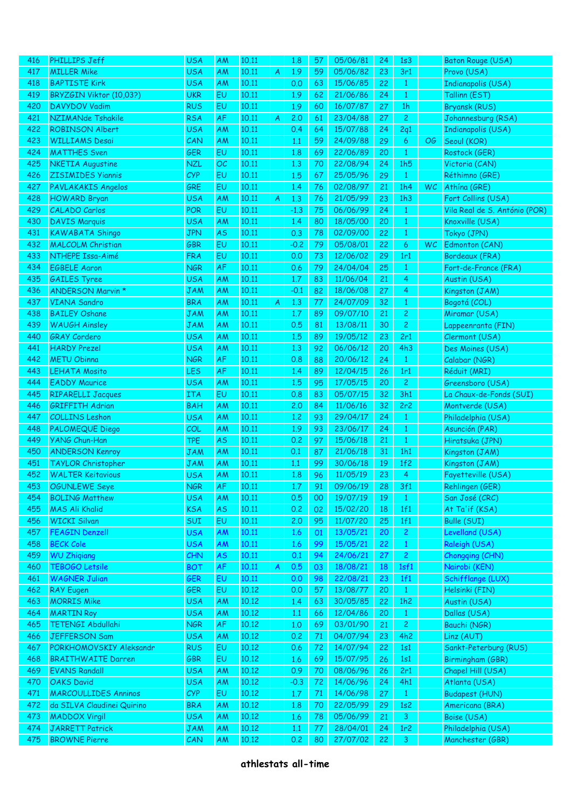| 416 | <b>PHILLIPS Jeff</b>        | <b>USA</b> | AM        | 10.11 |   | 1.8     | 57 | 05/06/81 | 24 | 1s3            |    | Baton Rouge (USA)             |
|-----|-----------------------------|------------|-----------|-------|---|---------|----|----------|----|----------------|----|-------------------------------|
| 417 | <b>MILLER Mike</b>          | <b>USA</b> | AM        | 10.11 | A | 1.9     | 59 | 05/06/82 | 23 | 3r1            |    | Provo (USA)                   |
| 418 | <b>BAPTISTE Kirk</b>        | <b>USA</b> | AM        | 10.11 |   | 0.0     | 63 | 15/06/85 | 22 | $\mathbf{1}$   |    | <b>Indianapolis (USA)</b>     |
| 419 | BRYZGIN Viktor (10,03?)     | <b>UKR</b> | EU        | 10.11 |   | 1.9     | 62 | 21/06/86 | 24 | $\mathbf{1}$   |    | Tallinn (EST)                 |
| 420 | <b>DAVYDOV Vadim</b>        | <b>RUS</b> | EU        | 10.11 |   | 1.9     | 60 | 16/07/87 | 27 | 1 <sub>h</sub> |    | <b>Bryansk (RUS)</b>          |
| 421 | NZIMANde Tshakile           | <b>RSA</b> | AF        | 10.11 | A | 2.0     | 61 | 23/04/88 | 27 | $\mathbf{2}$   |    | Johannesburg (RSA)            |
| 422 | <b>ROBINSON Albert</b>      | <b>USA</b> | AM        | 10.11 |   | 0.4     | 64 | 15/07/88 | 24 | 2q1            |    | Indianapolis (USA)            |
| 423 | <b>WILLIAMS Desai</b>       | CAN        | AM        | 10.11 |   | 1.1     | 59 | 24/09/88 | 29 | 6              | OG | Seoul (KOR)                   |
| 424 | <b>MATTHES Sven</b>         | GER        | EU        | 10.11 |   | 1.8     | 69 | 22/06/89 | 20 | $\mathbf{1}$   |    | Rostock (GER)                 |
| 425 | <b>NKETIA Augustine</b>     | <b>NZL</b> | OC        | 10.11 |   | 1,3     | 70 | 22/08/94 | 24 | 1h5            |    | Victoria (CAN)                |
| 426 | <b>ZISIMIDES Yiannis</b>    | CYP        | EU        | 10.11 |   | 1.5     | 67 | 25/05/96 | 29 | $\mathbf{1}$   |    | Réthimno (GRE)                |
|     |                             |            | EU        |       |   |         |    |          |    |                |    | Athína (GRE)                  |
| 427 | <b>PAVLAKAKIS Angelos</b>   | GRE        |           | 10.11 |   | 1.4     | 76 | 02/08/97 | 21 | 1h4            | WC |                               |
| 428 | <b>HOWARD Bryan</b>         | <b>USA</b> | AM        | 10.11 | A | 1,3     | 76 | 21/05/99 | 23 | 1h3            |    | Fort Collins (USA)            |
| 429 | <b>CALADO Carlos</b>        | <b>POR</b> | EU        | 10.11 |   | $-1.3$  | 75 | 06/06/99 | 24 | $\mathbf{1}$   |    | Vila Real de S. António (POR) |
| 430 | <b>DAVIS Marquis</b>        | <b>USA</b> | AM        | 10.11 |   | 1.4     | 80 | 18/05/00 | 20 | $\mathbf{1}$   |    | Knoxville (USA)               |
| 431 | <b>KAWABATA Shingo</b>      | <b>JPN</b> | <b>AS</b> | 10.11 |   | 0.3     | 78 | 02/09/00 | 22 | $\mathbf{1}$   |    | Tokyo (JPN)                   |
| 432 | <b>MALCOLM Christian</b>    | <b>GBR</b> | EU        | 10.11 |   | $-0.2$  | 79 | 05/08/01 | 22 | 6              | WC | Edmonton (CAN)                |
| 433 | NTHEPE Issa-Aimé            | <b>FRA</b> | EU        | 10.11 |   | 0.0     | 73 | 12/06/02 | 29 | 1r1            |    | Bordeaux (FRA)                |
| 434 | <b>EGBELE Aaron</b>         | <b>NGR</b> | AF        | 10.11 |   | 0.6     | 79 | 24/04/04 | 25 | $\mathbf{1}$   |    | Fort-de-France (FRA)          |
| 435 | <b>GAILES Tyree</b>         | <b>USA</b> | AM        | 10,11 |   | 1.7     | 83 | 11/06/04 | 21 | 4              |    | Austin (USA)                  |
| 436 | <b>ANDERSON Marvin *</b>    | <b>JAM</b> | AM        | 10,11 |   | $-0.1$  | 82 | 18/06/08 | 27 | 4              |    | Kingston (JAM)                |
| 437 | <b>VIANA Sandro</b>         | <b>BRA</b> | AM        | 10,11 | A | 1,3     | 77 | 24/07/09 | 32 | $\mathbf{1}$   |    | Bogotá (COL)                  |
| 438 | <b>BAILEY Oshane</b>        | <b>JAM</b> | AM        | 10,11 |   | 1.7     | 89 | 09/07/10 | 21 | $\overline{c}$ |    | Miramar (USA)                 |
| 439 | <b>WAUGH Ainsley</b>        | <b>JAM</b> | AM        | 10,11 |   | 0.5     | 81 | 13/08/11 | 30 | $\overline{c}$ |    | Lappeenranta (FIN)            |
| 440 | <b>GRAY Cordero</b>         | <b>USA</b> | AM        | 10,11 |   | 1.5     | 89 | 19/05/12 | 23 | 2r1            |    | Clermont (USA)                |
| 441 | <b>HARDY Prezel</b>         | <b>USA</b> | AM        | 10.11 |   | 1,3     | 92 | 06/06/12 | 20 | 4h3            |    | Des Moines (USA)              |
| 442 | <b>METU Obinna</b>          | <b>NGR</b> | AF        | 10.11 |   | 0.8     | 88 | 20/06/12 | 24 | $\mathbf{1}$   |    | Calabar (NGR)                 |
| 443 | <b>LEHATA Mosito</b>        | <b>LES</b> | AF        | 10.11 |   | 1.4     | 89 | 12/04/15 | 26 | 1r1            |    | Réduit (MRI)                  |
| 444 | <b>EADDY Maurice</b>        | <b>USA</b> | AM        | 10.11 |   | 1.5     | 95 | 17/05/15 | 20 | $\overline{c}$ |    | Greensboro (USA)              |
| 445 | <b>RIPARELLI Jacques</b>    | <b>ITA</b> | EU        | 10.11 |   | 0.8     | 83 | 05/07/15 | 32 | 3h1            |    | La Chaux-de-Fonds (SUI)       |
| 446 | <b>GRIFFITH Adrian</b>      | <b>BAH</b> | AM        | 10,11 |   | 2.0     | 84 | 11/06/16 | 32 | 2r2            |    | Montverde (USA)               |
| 447 | <b>COLLINS Leshon</b>       | <b>USA</b> | AM        | 10,11 |   | 1,2     | 93 | 29/04/17 | 24 | $\mathbf{1}$   |    | Philadelphia (USA)            |
| 448 | <b>PALOMEQUE Diego</b>      | COL        | AM        | 10,11 |   | 1.9     | 93 | 23/06/17 | 24 | $\mathbf{1}$   |    | Asunción (PAR)                |
| 449 | <b>YANG Chun-Han</b>        | <b>TPE</b> | <b>AS</b> | 10,11 |   | 0.2     | 97 | 15/06/18 | 21 | $\mathbf{1}$   |    | Hiratsuka (JPN)               |
| 450 | <b>ANDERSON Kenroy</b>      | <b>JAM</b> | AM        | 10,11 |   | 0.1     | 87 | 21/06/18 | 31 | 1h1            |    | Kingston (JAM)                |
| 451 |                             |            |           |       |   | 1.1     | 99 | 30/06/18 | 19 | 1f2            |    |                               |
| 452 | <b>TAYLOR Christopher</b>   | <b>JAM</b> | AM        | 10.11 |   |         |    |          |    | 4              |    | Kingston (JAM)                |
|     | <b>WALTER Keitavious</b>    | <b>USA</b> | AM        | 10.11 |   | 1.8     | 96 | 11/05/19 | 23 |                |    | Fayetteville (USA)            |
| 453 | OGUNLEWE Seye               | <b>NGR</b> | АF        | 10,11 |   | 1,7     | 91 | 09/06/19 | 28 | 3f1            |    | Rehlingen (GER)               |
| 454 | <b>BOLING Matthew</b>       | <b>USA</b> | AM        | 10.11 |   | 0.5     | 00 | 19/07/19 | 19 | $\mathbf{1}$   |    | San José (CRC)                |
| 455 | <b>MAS Ali Khalid</b>       | <b>KSA</b> | <b>AS</b> | 10.11 |   | 0.2     | 02 | 15/02/20 | 18 | 1f1            |    | At Ta'if (KSA)                |
| 456 | <b>WICKI Silvan</b>         | <b>SUI</b> | EU        | 10.11 |   | 2,0     | 95 | 11/07/20 | 25 | 1f1            |    | Bulle (SUI)                   |
| 457 | <b>FEAGIN Denzell</b>       | <b>USA</b> | AM        | 10.11 |   | 1.6     | 01 | 13/05/21 | 20 | $\mathbf{2}$   |    | Levelland (USA)               |
| 458 | <b>BECK Cole</b>            | <b>USA</b> | AM        | 10.11 |   | 1.6     | 99 | 15/05/21 | 22 | $\mathbf{1}$   |    | Raleigh (USA)                 |
| 459 | <b>WU Zhigiang</b>          | CHN        | <b>AS</b> | 10.11 |   | 0.1     | 94 | 24/06/21 | 27 | $\overline{c}$ |    | Chongqing (CHN)               |
| 460 | <b>TEBOGO Letsile</b>       | <b>BOT</b> | AF        | 10.11 | A | 0.5     | 03 | 18/08/21 | 18 | 1sf1           |    | Nairobi (KEN)                 |
| 461 | <b>WAGNER Julian</b>        | <b>GER</b> | EU        | 10.11 |   | 0.0     | 98 | 22/08/21 | 23 | 1f1            |    | Schifflange (LUX)             |
| 462 | <b>RAY Eugen</b>            | <b>GER</b> | EU        | 10.12 |   | 0.0     | 57 | 13/08/77 | 20 | $\mathbf{1}$   |    | Helsinki (FIN)                |
| 463 | <b>MORRIS Mike</b>          | <b>USA</b> | AM        | 10.12 |   | 1,4     | 63 | 30/05/85 | 22 | 1h2            |    | Austin (USA)                  |
| 464 | <b>MARTIN Roy</b>           | <b>USA</b> | AM        | 10.12 |   | 1.1     | 66 | 12/04/86 | 20 | $\mathbf{1}$   |    | Dallas (USA)                  |
| 465 | <b>TETENGI Abdullahi</b>    | <b>NGR</b> | AF        | 10.12 |   | 1,0     | 69 | 03/01/90 | 21 | $\overline{c}$ |    | Bauchi (NGR)                  |
| 466 | <b>JEFFERSON Sam</b>        | <b>USA</b> | AM        | 10.12 |   | 0.2     | 71 | 04/07/94 | 23 | 4h2            |    | Linz (AUT)                    |
| 467 | PORKHOMOVSKIY Aleksandr     | <b>RUS</b> | EU        | 10.12 |   | 0.6     | 72 | 14/07/94 | 22 | 1s1            |    | Sankt-Peterburg (RUS)         |
| 468 | <b>BRAITHWAITE Darren</b>   | <b>GBR</b> | EU        | 10.12 |   | 1.6     | 69 | 15/07/95 | 26 | 1s1            |    | Birmingham (GBR)              |
| 469 | <b>EVANS Randall</b>        | <b>USA</b> | AM        | 10.12 |   | 0.9     | 70 | 08/06/96 | 26 | 2r1            |    | Chapel Hill (USA)             |
| 470 | <b>OAKS David</b>           | <b>USA</b> | AM        | 10.12 |   | $-0.3$  | 72 | 14/06/96 | 24 | 4h1            |    | Atlanta (USA)                 |
| 471 | <b>MARCOULLIDES Anninos</b> | <b>CYP</b> | EU        | 10.12 |   | $1.7$   | 71 | 14/06/98 | 27 | $\mathbf{1}$   |    | <b>Budapest (HUN)</b>         |
| 472 | da SILVA Claudinei Quirino  | <b>BRA</b> | AM        | 10.12 |   | 1.8     | 70 | 22/05/99 | 29 | 1s2            |    | Americana (BRA)               |
| 473 | <b>MADDOX Virgil</b>        | <b>USA</b> | AM        | 10.12 |   | 1.6     | 78 | 05/06/99 | 21 | 3              |    | Boise (USA)                   |
| 474 | <b>JARRETT Patrick</b>      | <b>JAM</b> | AM        | 10.12 |   | $1.1\,$ | 77 | 28/04/01 | 24 | 1r2            |    | Philadelphia (USA)            |
| 475 | <b>BROWNE Pierre</b>        | CAN        | AM        | 10.12 |   | 0.2     | 80 | 27/07/02 | 22 | 3              |    | Manchester (GBR)              |
|     |                             |            |           |       |   |         |    |          |    |                |    |                               |